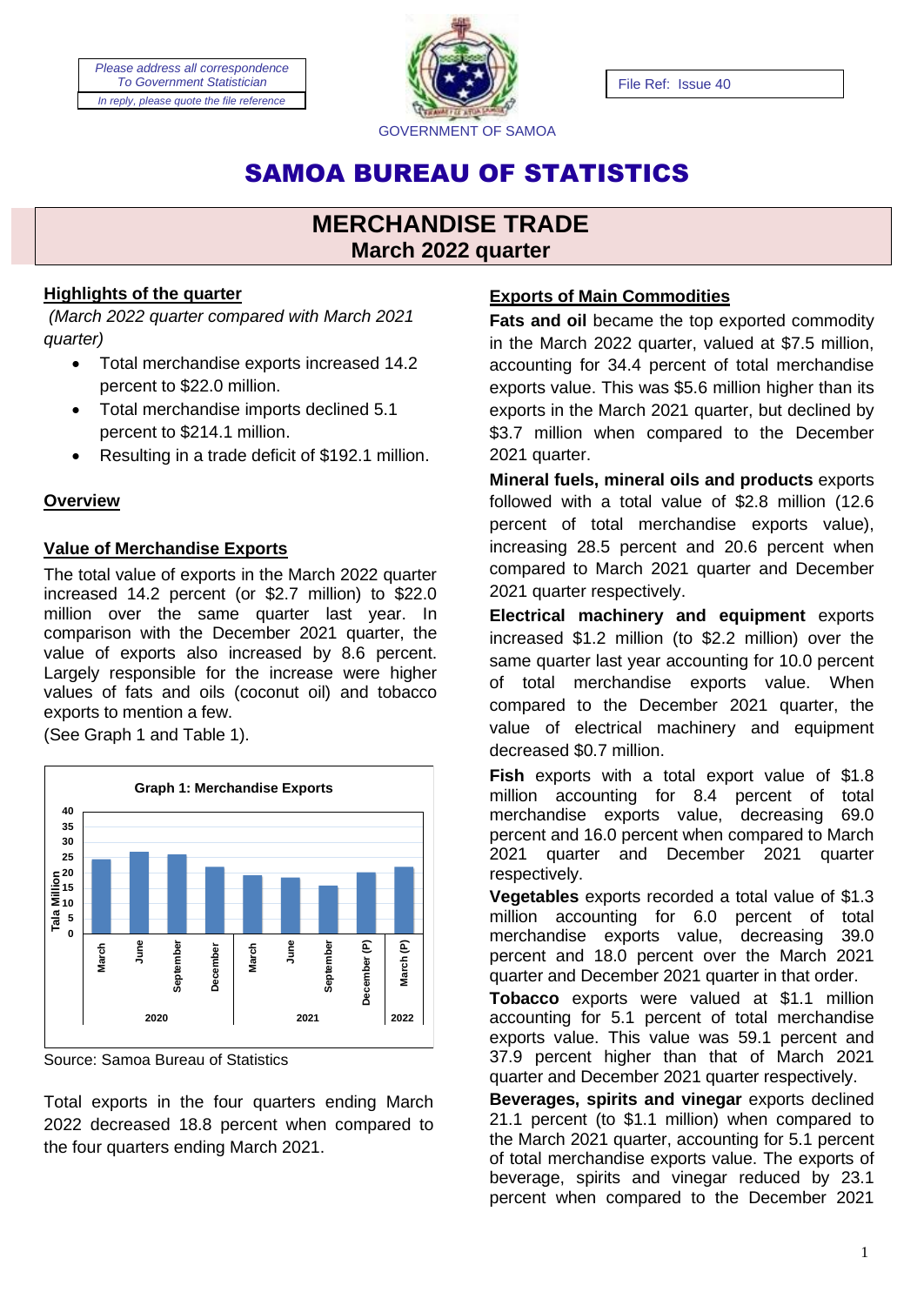*Please address all correspondence To Government Statistician In reply, please quote the file reference*



File Ref: Issue 40

# SAMOA BUREAU OF STATISTICS

# **MERCHANDISE TRADE March 2022 quarter**

# **Highlights of the quarter**

*(March 2022 quarter compared with March 2021 quarter)*

- Total merchandise exports increased 14.2 percent to \$22.0 million.
- Total merchandise imports declined 5.1 percent to \$214.1 million.
- Resulting in a trade deficit of \$192.1 million.

# **Overview**

# **Value of Merchandise Exports**

The total value of exports in the March 2022 quarter increased 14.2 percent (or \$2.7 million) to \$22.0 million over the same quarter last year. In comparison with the December 2021 quarter, the value of exports also increased by 8.6 percent. Largely responsible for the increase were higher values of fats and oils (coconut oil) and tobacco exports to mention a few.

(See Graph 1 and Table 1).



Source: Samoa Bureau of Statistics

Total exports in the four quarters ending March 2022 decreased 18.8 percent when compared to the four quarters ending March 2021.

# **Exports of Main Commodities**

**Fats and oil** became the top exported commodity in the March 2022 quarter, valued at \$7.5 million, accounting for 34.4 percent of total merchandise exports value. This was \$5.6 million higher than its exports in the March 2021 quarter, but declined by \$3.7 million when compared to the December 2021 quarter.

**Mineral fuels, mineral oils and products** exports followed with a total value of \$2.8 million (12.6 percent of total merchandise exports value), increasing 28.5 percent and 20.6 percent when compared to March 2021 quarter and December 2021 quarter respectively.

**Electrical machinery and equipment** exports increased \$1.2 million (to \$2.2 million) over the same quarter last year accounting for 10.0 percent of total merchandise exports value. When compared to the December 2021 quarter, the value of electrical machinery and equipment decreased \$0.7 million.

**Fish** exports with a total export value of \$1.8 million accounting for 8.4 percent of total merchandise exports value, decreasing 69.0 percent and 16.0 percent when compared to March 2021 quarter and December 2021 quarter respectively.

**Vegetables** exports recorded a total value of \$1.3 million accounting for 6.0 percent of total merchandise exports value, decreasing 39.0 percent and 18.0 percent over the March 2021 quarter and December 2021 quarter in that order.

**Tobacco** exports were valued at \$1.1 million accounting for 5.1 percent of total merchandise exports value. This value was 59.1 percent and 37.9 percent higher than that of March 2021 quarter and December 2021 quarter respectively.

**Beverages, spirits and vinegar** exports declined 21.1 percent (to \$1.1 million) when compared to the March 2021 quarter, accounting for 5.1 percent of total merchandise exports value. The exports of beverage, spirits and vinegar reduced by 23.1 percent when compared to the December 2021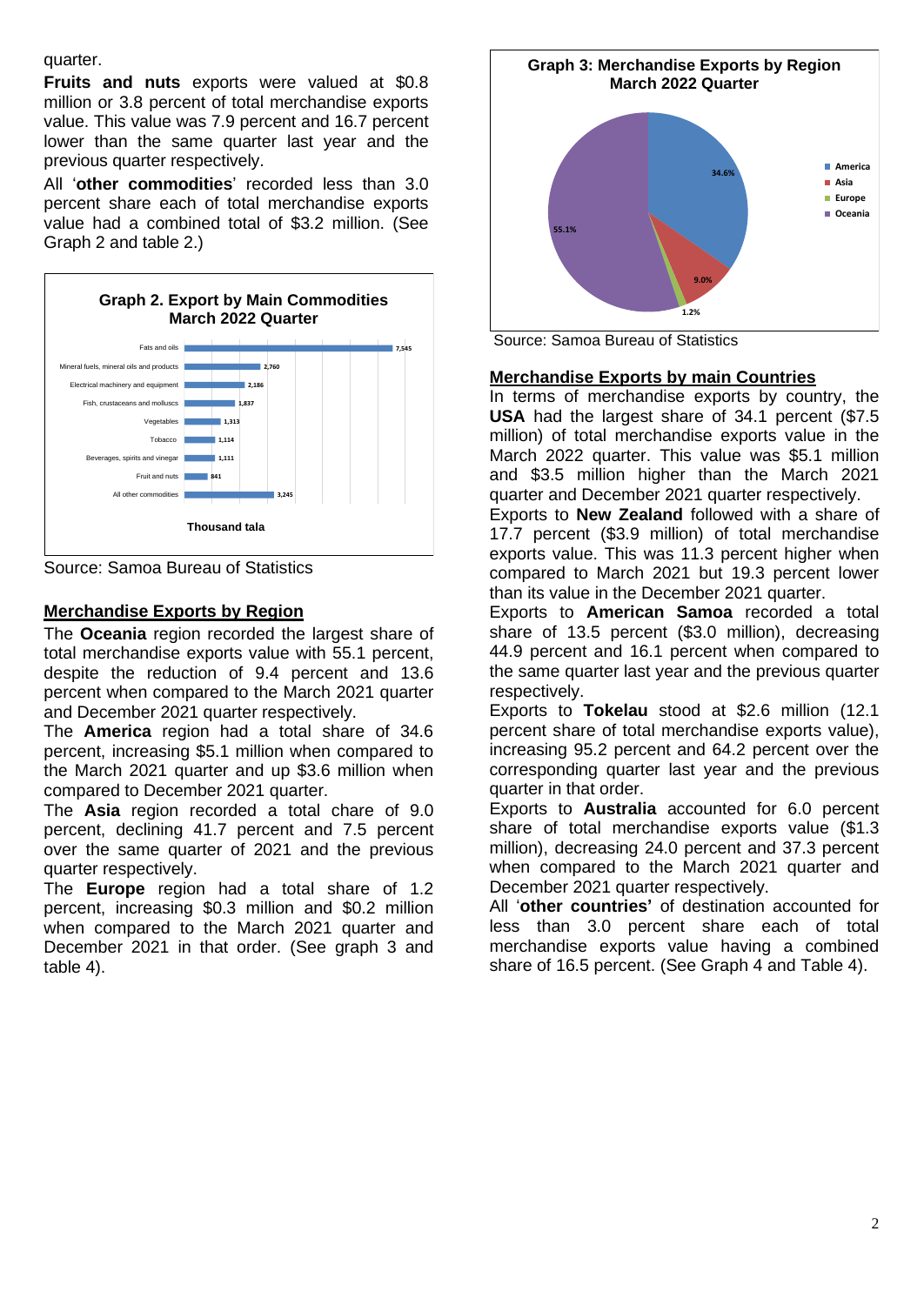quarter.

**Fruits and nuts** exports were valued at \$0.8 million or 3.8 percent of total merchandise exports value. This value was 7.9 percent and 16.7 percent lower than the same quarter last year and the previous quarter respectively.

All '**other commodities**' recorded less than 3.0 percent share each of total merchandise exports value had a combined total of \$3.2 million. (See Graph 2 and table 2.)



Source: Samoa Bureau of Statistics

# **Merchandise Exports by Region**

The **Oceania** region recorded the largest share of total merchandise exports value with 55.1 percent, despite the reduction of 9.4 percent and 13.6 percent when compared to the March 2021 quarter and December 2021 quarter respectively.

The **America** region had a total share of 34.6 percent, increasing \$5.1 million when compared to the March 2021 quarter and up \$3.6 million when compared to December 2021 quarter.

The **Asia** region recorded a total chare of 9.0 percent, declining 41.7 percent and 7.5 percent over the same quarter of 2021 and the previous quarter respectively.

The **Europe** region had a total share of 1.2 percent, increasing \$0.3 million and \$0.2 million when compared to the March 2021 quarter and December 2021 in that order. (See graph 3 and table 4).



Source: Samoa Bureau of Statistics

# **Merchandise Exports by main Countries**

In terms of merchandise exports by country, the **USA** had the largest share of 34.1 percent (\$7.5 million) of total merchandise exports value in the March 2022 quarter. This value was \$5.1 million and \$3.5 million higher than the March 2021 quarter and December 2021 quarter respectively.

Exports to **New Zealand** followed with a share of 17.7 percent (\$3.9 million) of total merchandise exports value. This was 11.3 percent higher when compared to March 2021 but 19.3 percent lower than its value in the December 2021 quarter.

Exports to **American Samoa** recorded a total share of 13.5 percent (\$3.0 million), decreasing 44.9 percent and 16.1 percent when compared to the same quarter last year and the previous quarter respectively.

Exports to **Tokelau** stood at \$2.6 million (12.1 percent share of total merchandise exports value), increasing 95.2 percent and 64.2 percent over the corresponding quarter last year and the previous quarter in that order.

Exports to **Australia** accounted for 6.0 percent share of total merchandise exports value (\$1.3 million), decreasing 24.0 percent and 37.3 percent when compared to the March 2021 quarter and December 2021 quarter respectively.

All '**other countries'** of destination accounted for less than 3.0 percent share each of total merchandise exports value having a combined share of 16.5 percent. (See Graph 4 and Table 4).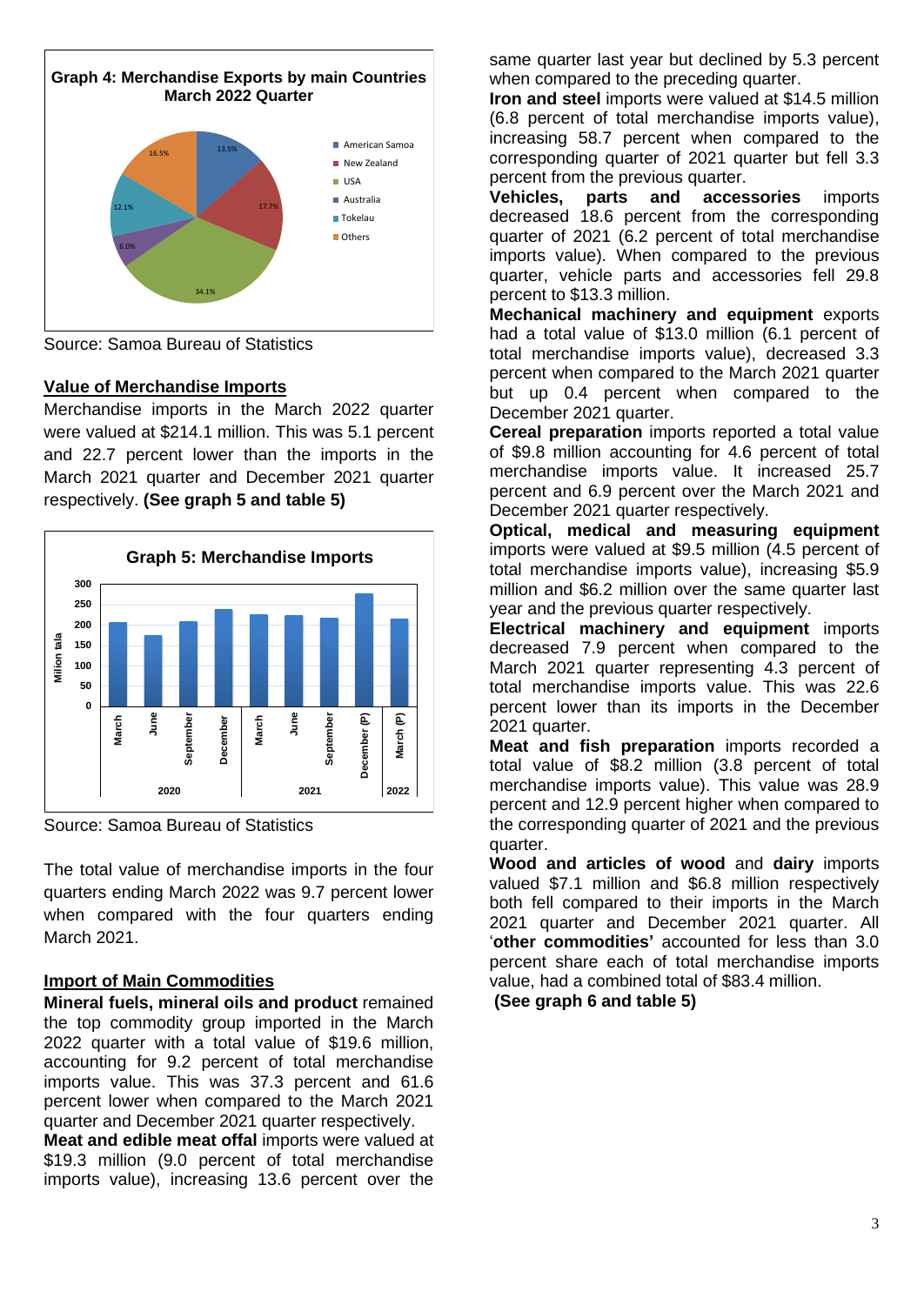

Source: Samoa Bureau of Statistics

# **Value of Merchandise Imports**

Merchandise imports in the March 2022 quarter were valued at \$214.1 million. This was 5.1 percent and 22.7 percent lower than the imports in the March 2021 quarter and December 2021 quarter respectively. **(See graph 5 and table 5)**



Source: Samoa Bureau of Statistics

The total value of merchandise imports in the four quarters ending March 2022 was 9.7 percent lower when compared with the four quarters ending March 2021.

# **Import of Main Commodities**

**Mineral fuels, mineral oils and product** remained the top commodity group imported in the March 2022 quarter with a total value of \$19.6 million, accounting for 9.2 percent of total merchandise imports value. This was 37.3 percent and 61.6 percent lower when compared to the March 2021 quarter and December 2021 quarter respectively.

**Meat and edible meat offal imports were valued at** \$19.3 million (9.0 percent of total merchandise imports value), increasing 13.6 percent over the

same quarter last year but declined by 5.3 percent when compared to the preceding quarter.

**Iron and steel** imports were valued at \$14.5 million (6.8 percent of total merchandise imports value), increasing 58.7 percent when compared to the corresponding quarter of 2021 quarter but fell 3.3 percent from the previous quarter.

**Vehicles, parts and accessories** imports decreased 18.6 percent from the corresponding quarter of 2021 (6.2 percent of total merchandise imports value). When compared to the previous quarter, vehicle parts and accessories fell 29.8 percent to \$13.3 million.

**Mechanical machinery and equipment** exports had a total value of \$13.0 million (6.1 percent of total merchandise imports value), decreased 3.3 percent when compared to the March 2021 quarter but up 0.4 percent when compared to the December 2021 quarter.

**Cereal preparation** imports reported a total value of \$9.8 million accounting for 4.6 percent of total merchandise imports value. It increased 25.7 percent and 6.9 percent over the March 2021 and December 2021 quarter respectively.

**Optical, medical and measuring equipment** imports were valued at \$9.5 million (4.5 percent of total merchandise imports value), increasing \$5.9 million and \$6.2 million over the same quarter last year and the previous quarter respectively.

**Electrical machinery and equipment** imports decreased 7.9 percent when compared to the March 2021 quarter representing 4.3 percent of total merchandise imports value. This was 22.6 percent lower than its imports in the December 2021 quarter.

**Meat and fish preparation** imports recorded a total value of \$8.2 million (3.8 percent of total merchandise imports value). This value was 28.9 percent and 12.9 percent higher when compared to the corresponding quarter of 2021 and the previous quarter.

**Wood and articles of wood** and **dairy** imports valued \$7.1 million and \$6.8 million respectively both fell compared to their imports in the March 2021 quarter and December 2021 quarter. All '**other commodities'** accounted for less than 3.0 percent share each of total merchandise imports value, had a combined total of \$83.4 million.

**(See graph 6 and table 5)**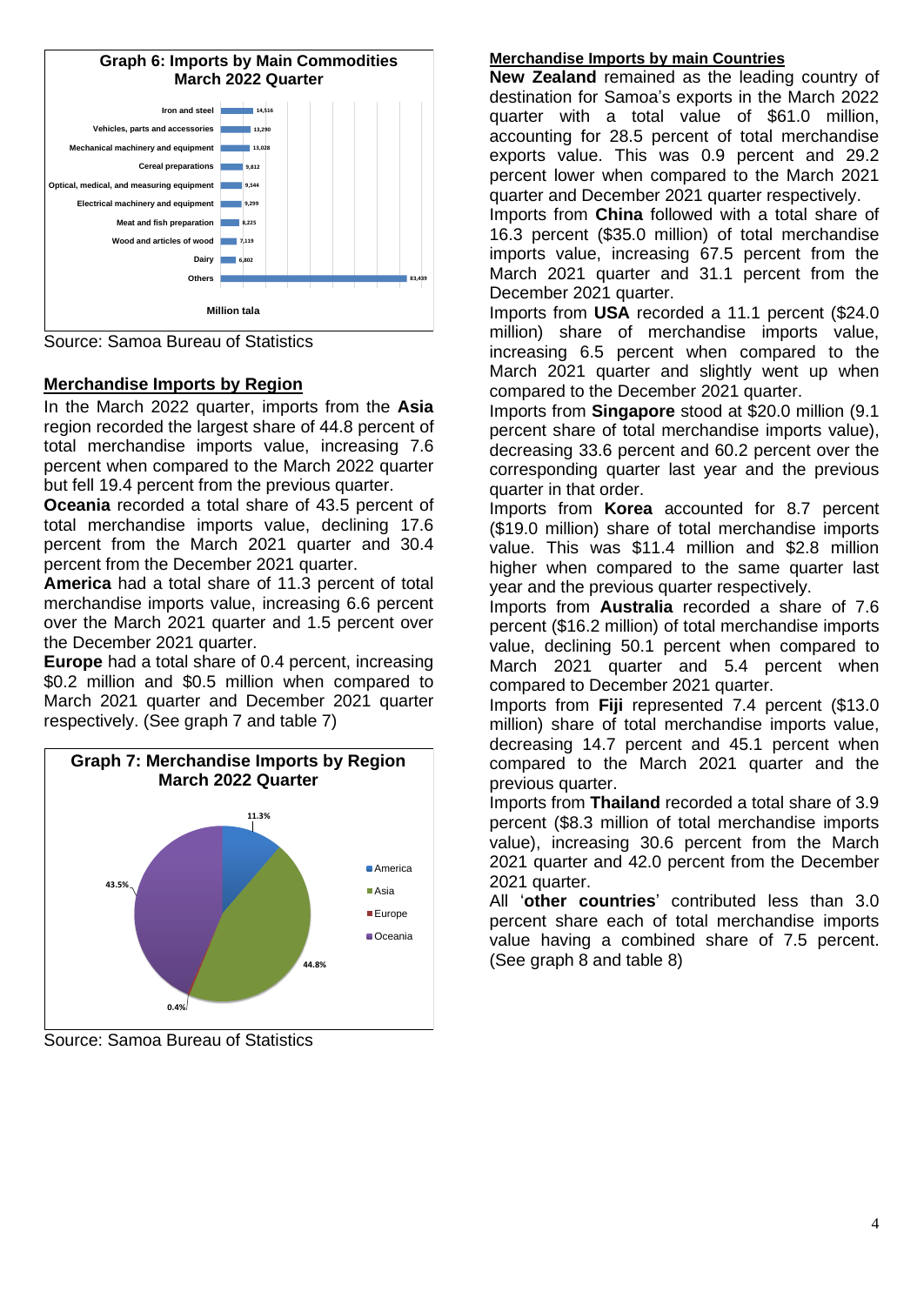

Source: Samoa Bureau of Statistics

# **Merchandise Imports by Region**

In the March 2022 quarter, imports from the **Asia** region recorded the largest share of 44.8 percent of total merchandise imports value, increasing 7.6 percent when compared to the March 2022 quarter but fell 19.4 percent from the previous quarter.

**Oceania** recorded a total share of 43.5 percent of total merchandise imports value, declining 17.6 percent from the March 2021 quarter and 30.4 percent from the December 2021 quarter.

**America** had a total share of 11.3 percent of total merchandise imports value, increasing 6.6 percent over the March 2021 quarter and 1.5 percent over the December 2021 quarter.

**Europe** had a total share of 0.4 percent, increasing \$0.2 million and \$0.5 million when compared to March 2021 quarter and December 2021 quarter respectively. (See graph 7 and table 7)



Source: Samoa Bureau of Statistics

# **Merchandise Imports by main Countries**

**New Zealand** remained as the leading country of destination for Samoa's exports in the March 2022 quarter with a total value of \$61.0 million, accounting for 28.5 percent of total merchandise exports value. This was 0.9 percent and 29.2 percent lower when compared to the March 2021 quarter and December 2021 quarter respectively.

Imports from **China** followed with a total share of 16.3 percent (\$35.0 million) of total merchandise imports value, increasing 67.5 percent from the March 2021 quarter and 31.1 percent from the December 2021 quarter.

Imports from **USA** recorded a 11.1 percent (\$24.0 million) share of merchandise imports value, increasing 6.5 percent when compared to the March 2021 quarter and slightly went up when compared to the December 2021 quarter.

Imports from **Singapore** stood at \$20.0 million (9.1 percent share of total merchandise imports value), decreasing 33.6 percent and 60.2 percent over the corresponding quarter last year and the previous quarter in that order.

Imports from **Korea** accounted for 8.7 percent (\$19.0 million) share of total merchandise imports value. This was \$11.4 million and \$2.8 million higher when compared to the same quarter last year and the previous quarter respectively.

Imports from **Australia** recorded a share of 7.6 percent (\$16.2 million) of total merchandise imports value, declining 50.1 percent when compared to March 2021 quarter and 5.4 percent when compared to December 2021 quarter.

Imports from **Fiji** represented 7.4 percent (\$13.0 million) share of total merchandise imports value, decreasing 14.7 percent and 45.1 percent when compared to the March 2021 quarter and the previous quarter.

Imports from **Thailand** recorded a total share of 3.9 percent (\$8.3 million of total merchandise imports value), increasing 30.6 percent from the March 2021 quarter and 42.0 percent from the December 2021 quarter.

All '**other countries**' contributed less than 3.0 percent share each of total merchandise imports value having a combined share of 7.5 percent. (See graph 8 and table 8)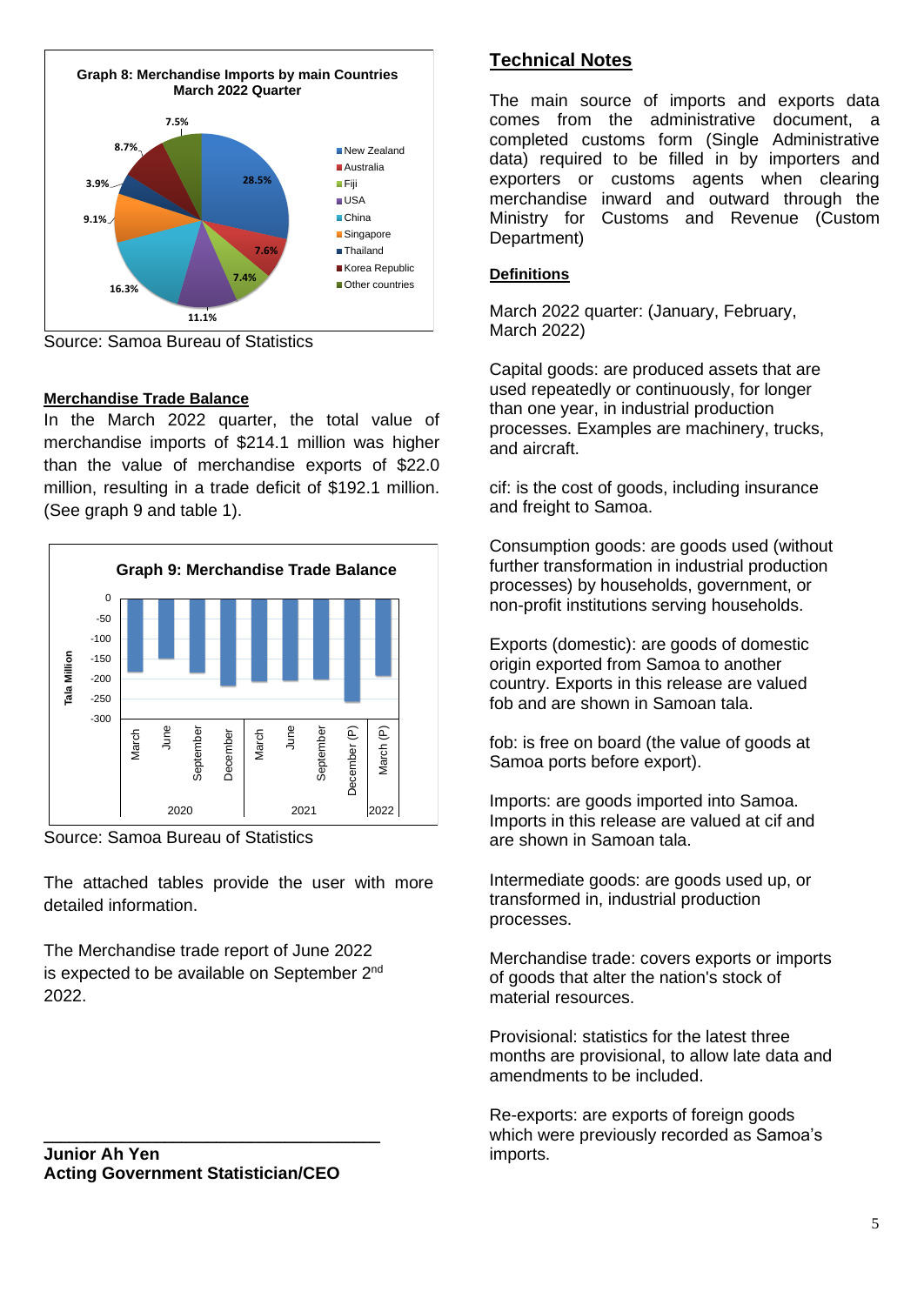

Source: Samoa Bureau of Statistics

# **Merchandise Trade Balance**

In the March 2022 quarter, the total value of merchandise imports of \$214.1 million was higher than the value of merchandise exports of \$22.0 million, resulting in a trade deficit of \$192.1 million. (See graph 9 and table 1).



Source: Samoa Bureau of Statistics

The attached tables provide the user with more detailed information.

The Merchandise trade report of June 2022 is expected to be available on September 2<sup>nd</sup> 2022.

\_\_\_\_\_\_\_\_\_\_\_\_\_\_\_\_\_\_\_\_\_\_\_\_\_\_\_\_\_\_\_\_\_\_\_\_\_\_\_

# **Technical Notes**

The main source of imports and exports data comes from the administrative document, a completed customs form (Single Administrative data) required to be filled in by importers and exporters or customs agents when clearing merchandise inward and outward through the Ministry for Customs and Revenue (Custom Department)

### **Definitions**

March 2022 quarter: (January, February, March 2022)

Capital goods: are produced assets that are used repeatedly or continuously, for longer than one year, in industrial production processes. Examples are machinery, trucks, and aircraft.

cif: is the cost of goods, including insurance and freight to Samoa.

Consumption goods: are goods used (without further transformation in industrial production processes) by households, government, or non-profit institutions serving households.

Exports (domestic): are goods of domestic origin exported from Samoa to another country. Exports in this release are valued fob and are shown in Samoan tala.

fob: is free on board (the value of goods at Samoa ports before export).

Imports: are goods imported into Samoa. Imports in this release are valued at cif and are shown in Samoan tala.

Intermediate goods: are goods used up, or transformed in, industrial production processes.

Merchandise trade: covers exports or imports of goods that alter the nation's stock of material resources.

Provisional: statistics for the latest three months are provisional, to allow late data and amendments to be included.

Re-exports: are exports of foreign goods which were previously recorded as Samoa's imports.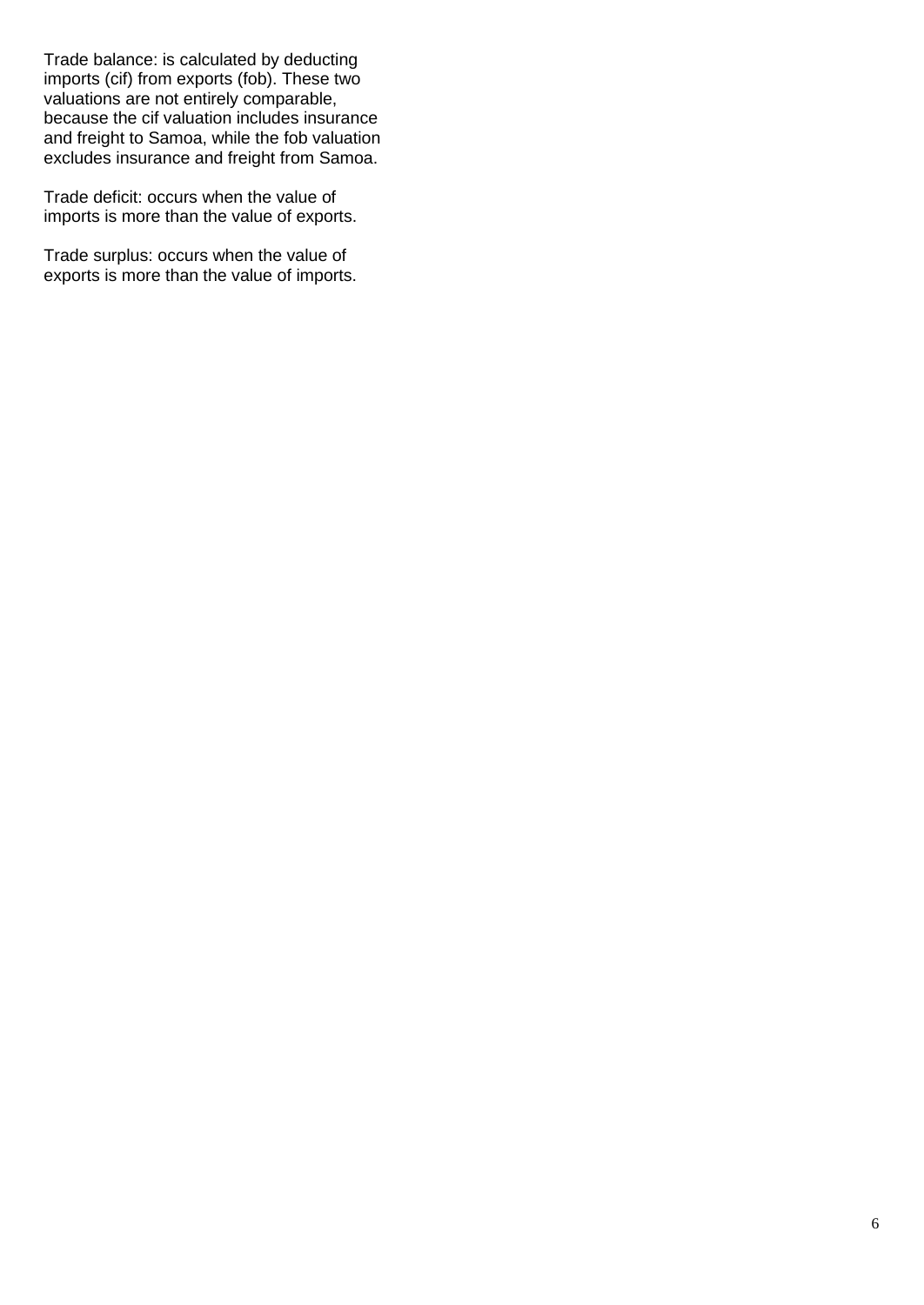Trade balance: is calculated by deducting imports (cif) from exports (fob). These two valuations are not entirely comparable, because the cif valuation includes insurance and freight to Samoa, while the fob valuation excludes insurance and freight from Samoa.

Trade deficit: occurs when the value of imports is more than the value of exports.

Trade surplus: occurs when the value of exports is more than the value of imports.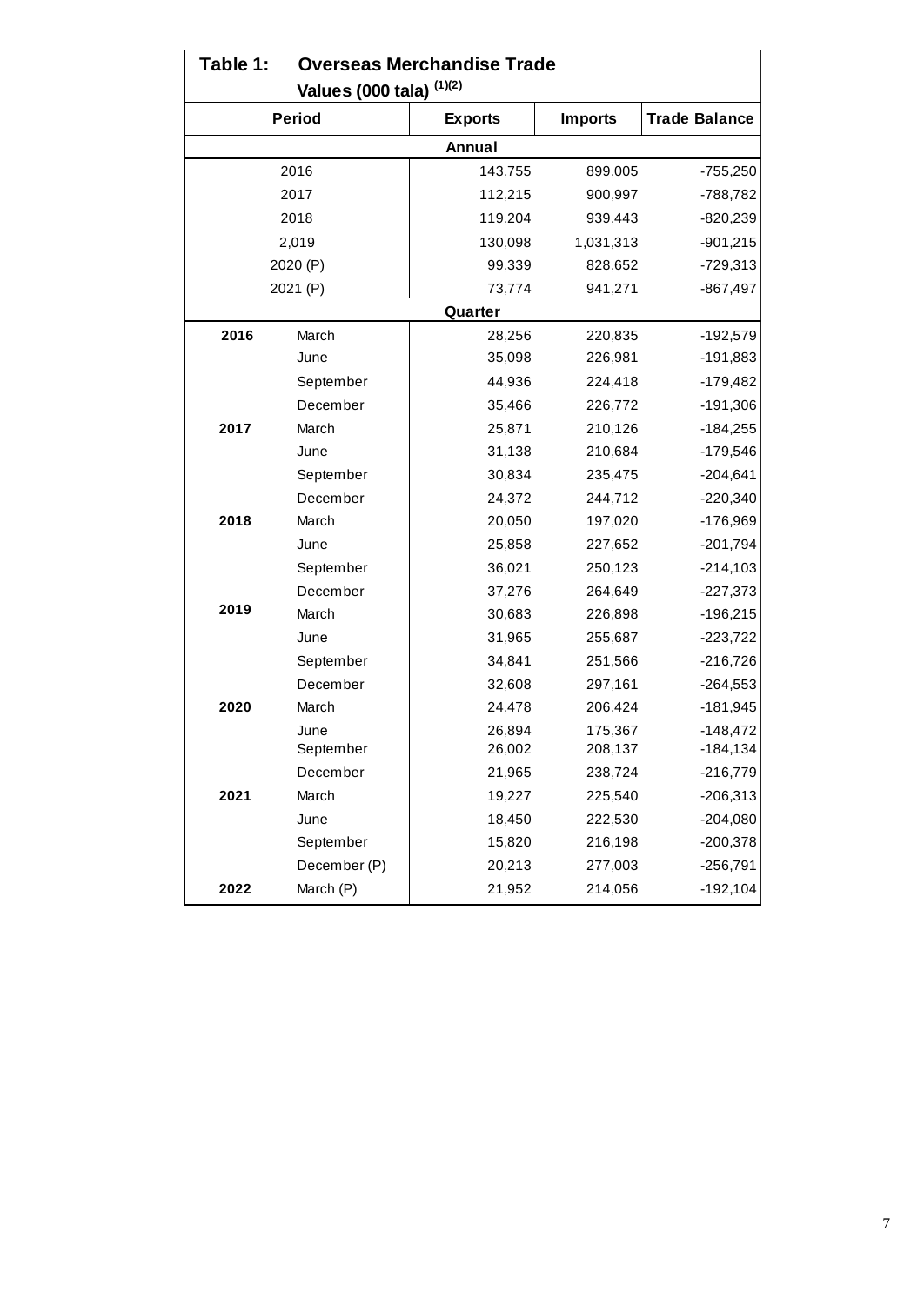|      | Table 1:<br><b>Overseas Merchandise Trade</b> |                |                |                      |  |  |  |  |  |  |  |  |  |  |
|------|-----------------------------------------------|----------------|----------------|----------------------|--|--|--|--|--|--|--|--|--|--|
|      | Values (000 tala) (1)(2)                      |                |                |                      |  |  |  |  |  |  |  |  |  |  |
|      | <b>Period</b>                                 | <b>Exports</b> | <b>Imports</b> | <b>Trade Balance</b> |  |  |  |  |  |  |  |  |  |  |
|      |                                               | Annual         |                |                      |  |  |  |  |  |  |  |  |  |  |
|      | 2016                                          | 143,755        | 899,005        | $-755,250$           |  |  |  |  |  |  |  |  |  |  |
|      | 2017                                          | 112,215        | 900,997        | -788,782             |  |  |  |  |  |  |  |  |  |  |
|      | 2018                                          | 119,204        | 939,443        | $-820,239$           |  |  |  |  |  |  |  |  |  |  |
|      | 2,019                                         | 130,098        | 1,031,313      | $-901,215$           |  |  |  |  |  |  |  |  |  |  |
|      | 2020 (P)                                      | 99,339         | 828,652        | $-729,313$           |  |  |  |  |  |  |  |  |  |  |
|      | 2021 (P)                                      | 73,774         | 941,271        | $-867,497$           |  |  |  |  |  |  |  |  |  |  |
|      |                                               | Quarter        |                |                      |  |  |  |  |  |  |  |  |  |  |
| 2016 | March                                         | 28,256         | 220,835        | $-192,579$           |  |  |  |  |  |  |  |  |  |  |
|      | June                                          | 35,098         | 226,981        | $-191,883$           |  |  |  |  |  |  |  |  |  |  |
|      | September                                     | 44,936         | 224,418        | $-179,482$           |  |  |  |  |  |  |  |  |  |  |
|      | December                                      | 35,466         | 226,772        | $-191,306$           |  |  |  |  |  |  |  |  |  |  |
| 2017 | March                                         | 25,871         | 210,126        | $-184,255$           |  |  |  |  |  |  |  |  |  |  |
|      | June                                          | 31,138         | 210,684        | $-179,546$           |  |  |  |  |  |  |  |  |  |  |
|      | September                                     | 30,834         | 235,475        | $-204,641$           |  |  |  |  |  |  |  |  |  |  |
|      | December                                      | 24,372         | 244,712        | $-220,340$           |  |  |  |  |  |  |  |  |  |  |
| 2018 | March                                         | 20,050         | 197,020        | -176,969             |  |  |  |  |  |  |  |  |  |  |
|      | June                                          | 25,858         | 227,652        | $-201,794$           |  |  |  |  |  |  |  |  |  |  |
|      | September                                     | 36,021         | 250,123        | $-214,103$           |  |  |  |  |  |  |  |  |  |  |
|      | December                                      | 37,276         | 264,649        | $-227,373$           |  |  |  |  |  |  |  |  |  |  |
| 2019 | March                                         | 30,683         | 226,898        | $-196,215$           |  |  |  |  |  |  |  |  |  |  |
|      | June                                          | 31,965         | 255,687        | $-223,722$           |  |  |  |  |  |  |  |  |  |  |
|      | September                                     | 34,841         | 251,566        | $-216,726$           |  |  |  |  |  |  |  |  |  |  |
|      | December                                      | 32,608         | 297,161        | $-264,553$           |  |  |  |  |  |  |  |  |  |  |
| 2020 | March                                         | 24,478         | 206,424        | $-181,945$           |  |  |  |  |  |  |  |  |  |  |
|      | June                                          | 26,894         | 175,367        | $-148,472$           |  |  |  |  |  |  |  |  |  |  |
|      | September                                     | 26,002         | 208,137        | $-184, 134$          |  |  |  |  |  |  |  |  |  |  |
|      | December                                      | 21,965         | 238,724        | $-216,779$           |  |  |  |  |  |  |  |  |  |  |
| 2021 | March                                         | 19,227         | 225,540        | $-206,313$           |  |  |  |  |  |  |  |  |  |  |
|      | June                                          | 18,450         | 222,530        | $-204,080$           |  |  |  |  |  |  |  |  |  |  |
|      | September                                     | 15,820         | 216,198        | $-200,378$           |  |  |  |  |  |  |  |  |  |  |
|      | December (P)                                  | 20,213         | 277,003        | $-256,791$           |  |  |  |  |  |  |  |  |  |  |
| 2022 | March (P)                                     | 21,952         | 214,056        | $-192,104$           |  |  |  |  |  |  |  |  |  |  |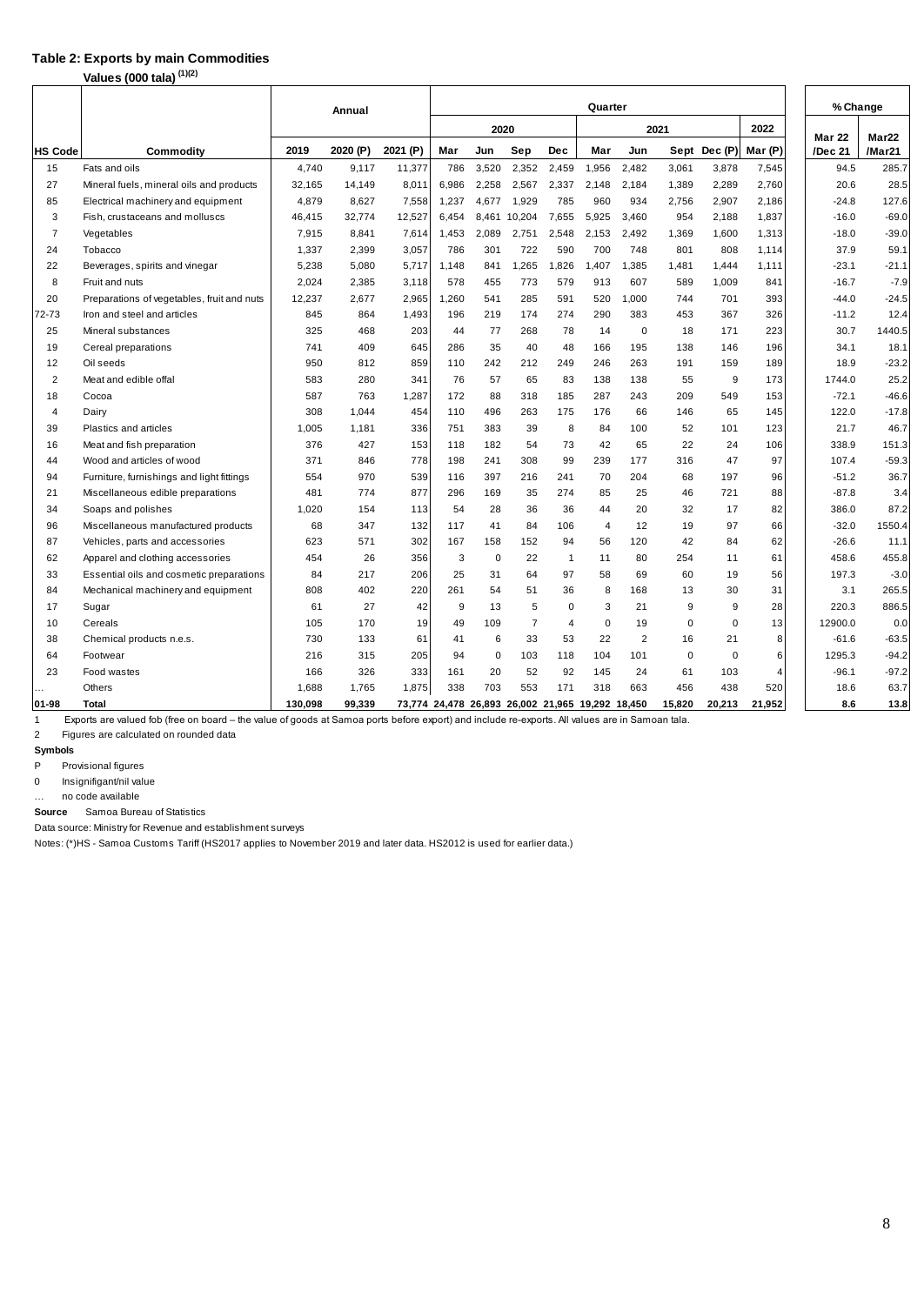### **Table 2: Exports by main Commodities**

**Values (000 tala) (1)(2)**

|                |                                            |         | Annual   |          | Quarter                                          |             |                |                |       |                |        |             | % Change       |                          |                             |
|----------------|--------------------------------------------|---------|----------|----------|--------------------------------------------------|-------------|----------------|----------------|-------|----------------|--------|-------------|----------------|--------------------------|-----------------------------|
|                |                                            |         |          |          |                                                  | 2020        |                |                |       |                | 2021   |             | 2022           |                          |                             |
| <b>HS Code</b> | Commodity                                  | 2019    | 2020 (P) | 2021 (P) | Mar                                              | Jun         | Sep            | Dec            | Mar   | Jun            |        | Sept Dec(P) | Mar (P)        | <b>Mar 22</b><br>/Dec 21 | Mar <sub>22</sub><br>/Mar21 |
| 15             | Fats and oils                              | 4,740   | 9,117    | 11,377   | 786                                              | 3,520       | 2,352          | 2,459          | 1,956 | 2,482          | 3,061  | 3,878       | 7,545          | 94.5                     | 285.7                       |
| 27             | Mineral fuels, mineral oils and products   | 32,165  | 14,149   | 8,011    | 6,986                                            | 2,258       | 2,567          | 2,337          | 2,148 | 2,184          | 1,389  | 2,289       | 2,760          | 20.6                     | 28.5                        |
| 85             | Electrical machinery and equipment         | 4,879   | 8,627    | 7,558    | 1,237                                            | 4,677       | 1,929          | 785            | 960   | 934            | 2,756  | 2,907       | 2,186          | $-24.8$                  | 127.6                       |
| 3              | Fish, crustaceans and molluscs             | 46,415  | 32,774   | 12,527   | 6,454                                            | 8,461       | 10,204         | 7,655          | 5,925 | 3,460          | 954    | 2,188       | 1,837          | $-16.0$                  | $-69.0$                     |
| $\overline{7}$ | Vegetables                                 | 7,915   | 8,841    | 7,614    | 1,453                                            | 2,089       | 2,751          | 2,548          | 2,153 | 2,492          | 1,369  | 1,600       | 1,313          | $-18.0$                  | $-39.0$                     |
| 24             | Tobacco                                    | 1,337   | 2,399    | 3,057    | 786                                              | 301         | 722            | 590            | 700   | 748            | 801    | 808         | 1,114          | 37.9                     | 59.1                        |
| 22             | Beverages, spirits and vinegar             | 5,238   | 5,080    | 5,717    | 1,148                                            | 841         | 1,265          | .826           | 1,407 | 1,385          | 1.481  | 1.444       | 1,111          | $-23.1$                  | $-21.1$                     |
| 8              | Fruit and nuts                             | 2,024   | 2,385    | 3,118    | 578                                              | 455         | 773            | 579            | 913   | 607            | 589    | 1.009       | 841            | $-16.7$                  | $-7.9$                      |
| 20             | Preparations of vegetables, fruit and nuts | 12,237  | 2.677    | 2,965    | 1,260                                            | 541         | 285            | 591            | 520   | 1,000          | 744    | 701         | 393            | $-44.0$                  | $-24.5$                     |
| 72-73          | Iron and steel and articles                | 845     | 864      | 1,493    | 196                                              | 219         | 174            | 274            | 290   | 383            | 453    | 367         | 326            | $-11.2$                  | 12.4                        |
| 25             | Mineral substances                         | 325     | 468      | 203      | 44                                               | 77          | 268            | 78             | 14    | 0              | 18     | 171         | 223            | 30.7                     | 1440.5                      |
| 19             | Cereal preparations                        | 741     | 409      | 645      | 286                                              | 35          | 40             | 48             | 166   | 195            | 138    | 146         | 196            | 34.1                     | 18.1                        |
| 12             | Oil seeds                                  | 950     | 812      | 859      | 110                                              | 242         | 212            | 249            | 246   | 263            | 191    | 159         | 189            | 18.9                     | $-23.2$                     |
| $\overline{2}$ | Meat and edible offal                      | 583     | 280      | 341      | 76                                               | 57          | 65             | 83             | 138   | 138            | 55     | 9           | 173            | 1744.0                   | 25.2                        |
| 18             | Cocoa                                      | 587     | 763      | 1,287    | 172                                              | 88          | 318            | 185            | 287   | 243            | 209    | 549         | 153            | $-72.1$                  | $-46.6$                     |
| 4              | Dairy                                      | 308     | 1,044    | 454      | 110                                              | 496         | 263            | 175            | 176   | 66             | 146    | 65          | 145            | 122.0                    | $-17.8$                     |
| 39             | Plastics and articles                      | 1,005   | 1,181    | 336      | 751                                              | 383         | 39             | 8              | 84    | 100            | 52     | 101         | 123            | 21.7                     | 46.7                        |
| 16             | Meat and fish preparation                  | 376     | 427      | 153      | 118                                              | 182         | 54             | 73             | 42    | 65             | 22     | 24          | 106            | 338.9                    | 151.3                       |
| 44             | Wood and articles of wood                  | 371     | 846      | 778      | 198                                              | 241         | 308            | 99             | 239   | 177            | 316    | 47          | 97             | 107.4                    | $-59.3$                     |
| 94             | Furniture, furnishings and light fittings  | 554     | 970      | 539      | 116                                              | 397         | 216            | 241            | 70    | 204            | 68     | 197         | 96             | $-51.2$                  | 36.7                        |
| 21             | Miscellaneous edible preparations          | 481     | 774      | 877      | 296                                              | 169         | 35             | 274            | 85    | 25             | 46     | 721         | 88             | $-87.8$                  | 3.4                         |
| 34             | Soaps and polishes                         | 1,020   | 154      | 113      | 54                                               | 28          | 36             | 36             | 44    | 20             | 32     | 17          | 82             | 386.0                    | 87.2                        |
| 96             | Miscellaneous manufactured products        | 68      | 347      | 132      | 117                                              | 41          | 84             | 106            | 4     | 12             | 19     | 97          | 66             | $-32.0$                  | 1550.4                      |
| 87             | Vehicles, parts and accessories            | 623     | 571      | 302      | 167                                              | 158         | 152            | 94             | 56    | 120            | 42     | 84          | 62             | $-26.6$                  | 11.1                        |
| 62             | Apparel and clothing accessories           | 454     | 26       | 356      | 3                                                | 0           | 22             | $\overline{1}$ | 11    | 80             | 254    | 11          | 61             | 458.6                    | 455.8                       |
| 33             | Essential oils and cosmetic preparations   | 84      | 217      | 206      | 25                                               | 31          | 64             | 97             | 58    | 69             | 60     | 19          | 56             | 197.3                    | $-3.0$                      |
| 84             | Mechanical machinery and equipment         | 808     | 402      | 220      | 261                                              | 54          | 51             | 36             | 8     | 168            | 13     | 30          | 31             | 3.1                      | 265.5                       |
| 17             | Sugar                                      | 61      | 27       | 42       | 9                                                | 13          | 5              | $\Omega$       | 3     | 21             | 9      | 9           | 28             | 220.3                    | 886.5                       |
| 10             | Cereals                                    | 105     | 170      | 19       | 49                                               | 109         | $\overline{7}$ | 4              | 0     | 19             | 0      | $\Omega$    | 13             | 12900.0                  | 0.0                         |
| 38             | Chemical products n.e.s.                   | 730     | 133      | 61       | 41                                               | 6           | 33             | 53             | 22    | $\overline{2}$ | 16     | 21          | 8              | $-61.6$                  | $-63.5$                     |
| 64             | Footwear                                   | 216     | 315      | 205      | 94                                               | $\mathbf 0$ | 103            | 118            | 104   | 101            | 0      | 0           | 6              | 1295.3                   | $-94.2$                     |
| 23             | Food wastes                                | 166     | 326      | 333      | 161                                              | 20          | 52             | 92             | 145   | 24             | 61     | 103         | $\overline{4}$ | $-96.1$                  | $-97.2$                     |
|                | Others                                     | 1,688   | 1,765    | 1,875    | 338                                              | 703         | 553            | 171            | 318   | 663            | 456    | 438         | 520            | 18.6                     | 63.7                        |
| 01-98          | Total                                      | 130,098 | 99,339   |          | 73,774 24,478 26,893 26,002 21,965 19,292 18,450 |             |                |                |       |                | 15,820 | 20,213      | 21,952         | 8.6                      | 13.8                        |

1 Exports are valued fob (free on board – the value of goods at Samoa ports before export) and include re-exports. All values are in Samoan tala.

2 Figures are calculated on rounded data

#### **Symbols**

P Provisional figures

0 Insignifigant/nil value

… no code available

 Samoa Bureau of Statistics **Source**

Data source: Ministry for Revenue and establishment surveys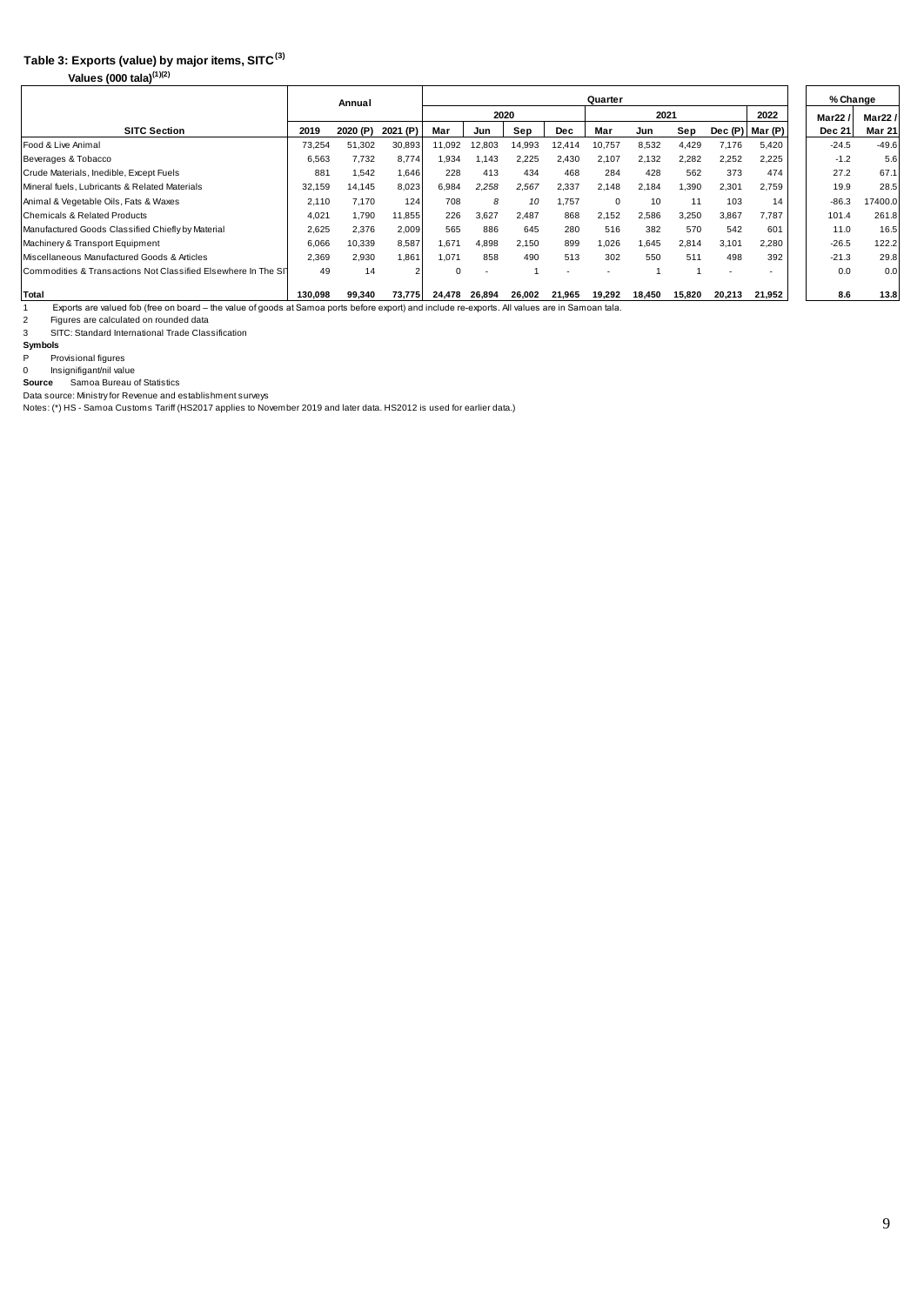# **Table 3: Exports (value) by major items, SITC(3)**

**Values (000 tala)(1)(2)**

|                                                                                                                                                                                                                                                                        |         | Annual   |          | Quarter  |        |        |        |             |        |        |                          |         | % Change      |               |
|------------------------------------------------------------------------------------------------------------------------------------------------------------------------------------------------------------------------------------------------------------------------|---------|----------|----------|----------|--------|--------|--------|-------------|--------|--------|--------------------------|---------|---------------|---------------|
|                                                                                                                                                                                                                                                                        |         |          |          |          |        | 2020   |        |             | 2021   |        | 2022                     | Mar22   | Mar22/        |               |
| <b>SITC Section</b>                                                                                                                                                                                                                                                    | 2019    | 2020 (P) | 2021 (P) | Mar      | Jun    | Sep    | Dec    | Mar         | Jun    | Sep    | Dec (P)                  | Mar (P) | <b>Dec 21</b> | <b>Mar 21</b> |
| Food & Live Animal                                                                                                                                                                                                                                                     | 73,254  | 51,302   | 30,893   | 11,092   | 12,803 | 14,993 | 12,414 | 10,757      | 8,532  | 4,429  | 7,176                    | 5,420   | $-24.5$       | $-49.6$       |
| Beverages & Tobacco                                                                                                                                                                                                                                                    | 6,563   | 7,732    | 8,774    | 1,934    | 1.143  | 2,225  | 2,430  | 2,107       | 2,132  | 2,282  | 2,252                    | 2,225   | $-1.2$        | 5.6           |
| Crude Materials, Inedible, Except Fuels                                                                                                                                                                                                                                | 881     | 1.542    | 1.646    | 228      | 413    | 434    | 468    | 284         | 428    | 562    | 373                      | 474     | 27.2          | 67.1          |
| Mineral fuels, Lubricants & Related Materials                                                                                                                                                                                                                          | 32,159  | 14.145   | 8,023    | 6,984    | 2,258  | 2,567  | 2,337  | 2,148       | 2,184  | 1,390  | 2,301                    | 2,759   | 19.9          | 28.5          |
| Animal & Vegetable Oils, Fats & Waxes                                                                                                                                                                                                                                  | 2,110   | 7.170    | 124      | 708      | 8      | 10     | 1,757  | $\mathbf 0$ | 10     | 11     | 103                      | 14      | $-86.3$       | 17400.0       |
| Chemicals & Related Products                                                                                                                                                                                                                                           | 4.021   | 1,790    | 11,855   | 226      | 3,627  | 2.487  | 868    | 2,152       | 2,586  | 3,250  | 3.867                    | 7,787   | 101.4         | 261.8         |
| Manufactured Goods Classified Chiefly by Material                                                                                                                                                                                                                      | 2,625   | 2,376    | 2,009    | 565      | 886    | 645    | 280    | 516         | 382    | 570    | 542                      | 601     | 11.0          | 16.5          |
| Machinery & Transport Equipment                                                                                                                                                                                                                                        | 6,066   | 10,339   | 8.587    | 1.671    | 4.898  | 2.150  | 899    | 1,026       | 1,645  | 2,814  | 3,101                    | 2,280   | $-26.5$       | 122.2         |
| Miscellaneous Manufactured Goods & Articles                                                                                                                                                                                                                            | 2,369   | 2.930    | 1.861    | 1,071    | 858    | 490    | 513    | 302         | 550    | 511    | 498                      | 392     | $-21.3$       | 29.8          |
| Commodities & Transactions Not Classified Elsewhere In The SIT                                                                                                                                                                                                         | 49      | 14       |          | $\Omega$ |        |        |        |             |        |        | $\overline{\phantom{a}}$ |         | 0.0           | 0.0           |
| Total                                                                                                                                                                                                                                                                  | 130.098 | 99.340   | 73.775   | 24.478   | 26.894 | 26,002 | 21,965 | 19,292      | 18.450 | 15,820 | 20,213                   | 21,952  | 8.6           | 13.8          |
| Exports are valued fob (free on board – the value of goods at Samoa ports before export) and include re-exports. All values are in Samoan tala.                                                                                                                        |         |          |          |          |        |        |        |             |        |        |                          |         |               |               |
| $\overline{2}$<br>Figures are calculated on rounded data                                                                                                                                                                                                               |         |          |          |          |        |        |        |             |        |        |                          |         |               |               |
| SITC: Standard International Trade Classification<br>3                                                                                                                                                                                                                 |         |          |          |          |        |        |        |             |        |        |                          |         |               |               |
| Symbols                                                                                                                                                                                                                                                                |         |          |          |          |        |        |        |             |        |        |                          |         |               |               |
| P<br>Provisional figures                                                                                                                                                                                                                                               |         |          |          |          |        |        |        |             |        |        |                          |         |               |               |
| Insignifigant/nil value<br>$\Omega$                                                                                                                                                                                                                                    |         |          |          |          |        |        |        |             |        |        |                          |         |               |               |
| Samoa Bureau of Statistics<br>Source<br>Design and the state of the Design and the state of the first contract of the state of the state of the state of the state of the state of the state of the state of the state of the state of the state of the state of the s |         |          |          |          |        |        |        |             |        |        |                          |         |               |               |

Data source: Ministry for Revenue and establishment surveys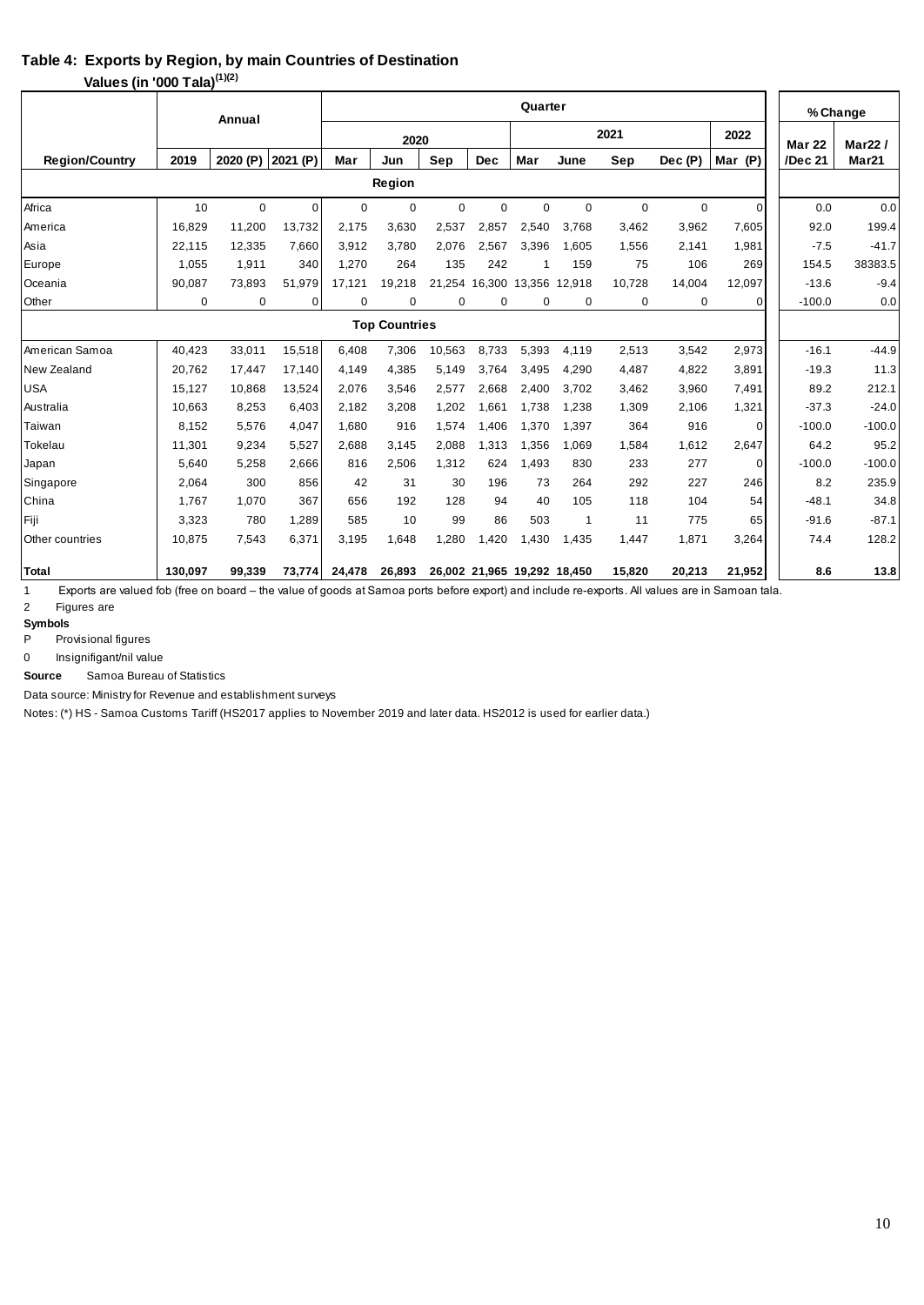### **Table 4: Exports by Region, by main Countries of Destination**

**Values (in '000 Tala)(1)(2)**

| Quarter<br>Annual     |          |             |          |             |        |               |                             |               |             |             |             |          |          | % Change          |
|-----------------------|----------|-------------|----------|-------------|--------|---------------|-----------------------------|---------------|-------------|-------------|-------------|----------|----------|-------------------|
|                       |          |             |          |             | 2020   | <b>Mar 22</b> | Mar22/                      |               |             |             |             |          |          |                   |
| <b>Region/Country</b> | 2019     | 2020 (P)    | 2021 (P) | Mar         | Jun    | Sep           | <b>Dec</b>                  | Mar           | June        | Sep         | Dec(P)      | Mar (P)  | /Dec 21  | Mar <sub>21</sub> |
|                       |          |             |          |             | Region |               |                             |               |             |             |             |          |          |                   |
| Africa                | 10       | $\mathbf 0$ | οI       | $\mathbf 0$ | 0      | $\mathbf 0$   | 0                           | $\mathbf 0$   | $\mathbf 0$ | $\mathbf 0$ | $\mathbf 0$ | $\Omega$ | 0.0      | 0.0               |
| America               | 16.829   | 11.200      | 13.732   | 2.175       | 3.630  | 2,537         | 2.857                       | 2.540         | 3.768       | 3.462       | 3,962       | 7,605    | 92.0     | 199.4             |
| Asia                  | 22.115   | 12,335      | 7,660    | 3.912       | 3.780  | 2,076         | 2.567                       | 3,396         | 1.605       | 1,556       | 2,141       | 1,981    | $-7.5$   | $-41.7$           |
| Europe                | 1,055    | 1,911       | 340      | 1,270       | 264    | 135           | 242                         | -1            | 159         | 75          | 106         | 269      | 154.5    | 38383.5           |
| Oceania               | 90,087   | 73,893      | 51.979   | 17,121      | 19,218 | 21.254        | 16.300                      | 13,356 12,918 |             | 10.728      | 14,004      | 12,097   | $-13.6$  | $-9.4$            |
| Other                 | $\Omega$ | $\mathbf 0$ | 0        | 0           | 0      | 0             | 0                           | $\mathbf 0$   | 0           | 0           | 0           | $\Omega$ | $-100.0$ | 0.0               |
| <b>Top Countries</b>  |          |             |          |             |        |               |                             |               |             |             |             |          |          |                   |
| American Samoa        | 40,423   | 33,011      | 15,518   | 6,408       | 7,306  | 10,563        | 8,733                       | 5,393         | 4,119       | 2,513       | 3,542       | 2,973    | $-16.1$  | $-44.9$           |
| New Zealand           | 20,762   | 17,447      | 17,140   | 4,149       | 4,385  | 5,149         | 3,764                       | 3,495         | 4,290       | 4,487       | 4,822       | 3,891    | $-19.3$  | 11.3              |
| <b>USA</b>            | 15,127   | 10,868      | 13,524   | 2,076       | 3,546  | 2,577         | 2,668                       | 2,400         | 3,702       | 3,462       | 3,960       | 7,491    | 89.2     | 212.1             |
| Australia             | 10.663   | 8,253       | 6,403    | 2.182       | 3,208  | 1,202         | 1,661                       | 1.738         | 1,238       | 1,309       | 2,106       | 1,321    | $-37.3$  | $-24.0$           |
| Taiwan                | 8.152    | 5.576       | 4.047    | 1.680       | 916    | 1,574         | 1.406                       | 1.370         | 1,397       | 364         | 916         | $\Omega$ | $-100.0$ | $-100.0$          |
| Tokelau               | 11,301   | 9,234       | 5,527    | 2,688       | 3,145  | 2,088         | 1,313                       | 1,356         | 1,069       | 1,584       | 1,612       | 2,647    | 64.2     | 95.2              |
| Japan                 | 5,640    | 5,258       | 2,666    | 816         | 2,506  | 1,312         | 624                         | 1,493         | 830         | 233         | 277         | $\Omega$ | $-100.0$ | $-100.0$          |
| Singapore             | 2,064    | 300         | 856      | 42          | 31     | 30            | 196                         | 73            | 264         | 292         | 227         | 246      | 8.2      | 235.9             |
| China                 | 1.767    | 1.070       | 367      | 656         | 192    | 128           | 94                          | 40            | 105         | 118         | 104         | 54       | $-48.1$  | 34.8              |
| Fiji                  | 3,323    | 780         | 1,289    | 585         | 10     | 99            | 86                          | 503           | 1           | 11          | 775         | 65       | $-91.6$  | $-87.1$           |
| Other countries       | 10,875   | 7,543       | 6,371    | 3,195       | 1,648  | 1,280         | 1,420                       | 1,430         | 1,435       | 1,447       | 1,871       | 3,264    | 74.4     | 128.2             |
| <b>Total</b>          | 130.097  | 99.339      | 73,774   | 24,478      | 26,893 |               | 26,002 21,965 19,292 18,450 |               |             | 15,820      | 20,213      | 21,952   | 8.6      | 13.8              |

1 Exports are valued fob (free on board – the value of goods at Samoa ports before export) and include re-exports. All values are in Samoan tala. 2 Figures are

**Symbols**

P Provisional figures

0 Insignifigant/nil value

 Samoa Bureau of Statistics **Source**

Data source: Ministry for Revenue and establishment surveys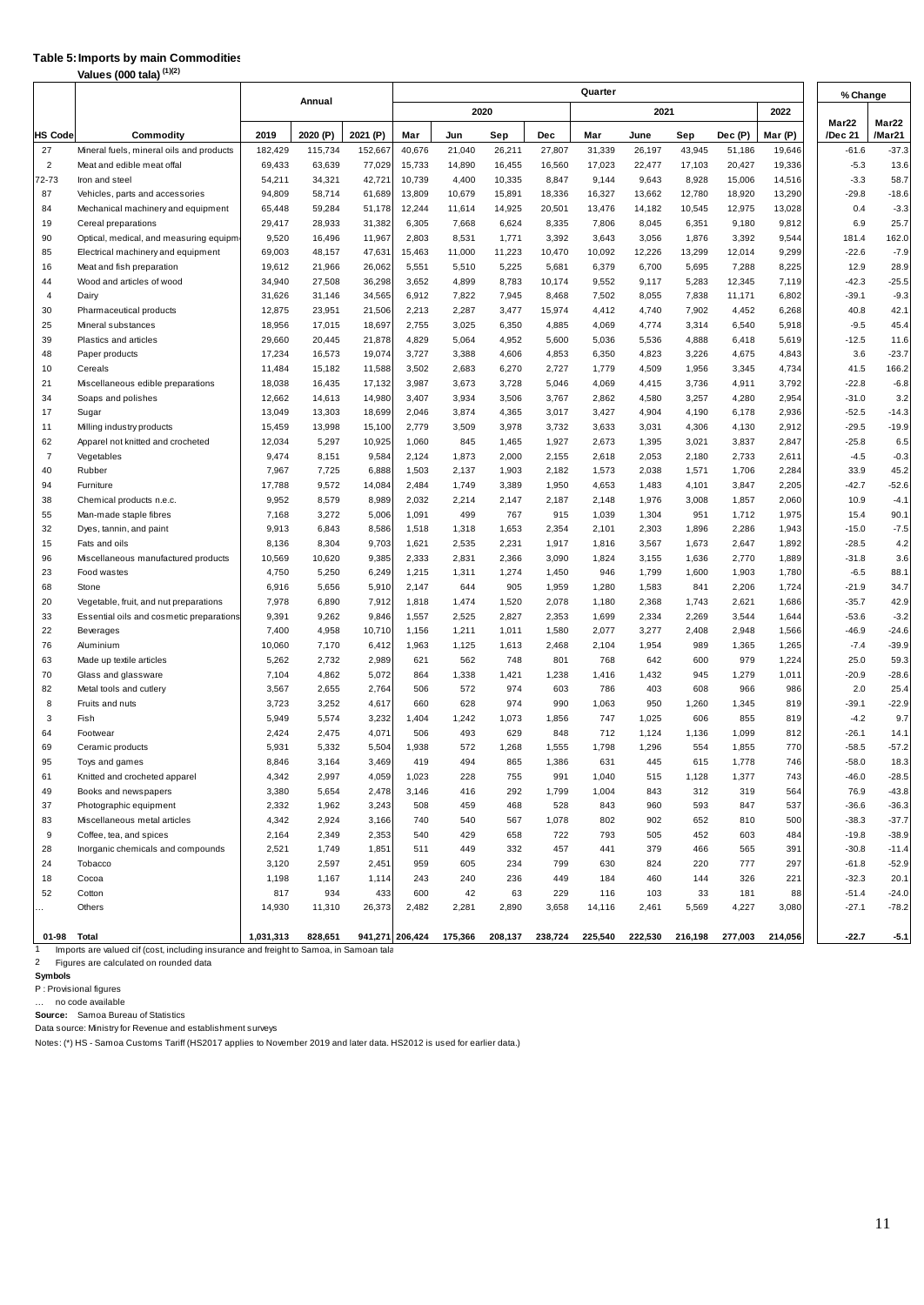### **Table 5:Imports by main Commodities**

| Quarter<br>% Change<br>Annual<br>2020<br>2021<br>2022<br>Mar22<br>Mar22<br>2019<br>2021 (P)<br>/Mar21<br>2020 (P)<br>Dec (P)<br>Mar (P)<br>/Dec 21<br><b>HS Code</b><br>Commodity<br>Mar<br>Sep<br>Dec<br>Mar<br>Sep<br>Jun<br>June<br>26,211<br>43,945<br>$-37.3$<br>27<br>Mineral fuels, mineral oils and products<br>182,429<br>115,734<br>152,667<br>40,676<br>21,040<br>27,807<br>31,339<br>26,197<br>51,186<br>19,646<br>$-61.6$<br>17,023<br>17,103<br>20,427<br>19,336<br>13.6<br>$\overline{2}$<br>Meat and edible meat offal<br>69,433<br>63,639<br>77,029<br>15,733<br>14,890<br>16,455<br>16,560<br>22,477<br>$-5.3$<br>15,006<br>$-3.3$<br>72-73<br>Iron and steel<br>54,211<br>34,321<br>42,721<br>10,739<br>4,400<br>10,335<br>8,847<br>9,144<br>9,643<br>8,928<br>14,516<br>58.7<br>87<br>94,809<br>58,714<br>61,689<br>13,809<br>10,679<br>15,891<br>18,336<br>16,327<br>13,662<br>12,780<br>18,920<br>13,290<br>$-29.8$<br>$-18.6$<br>Vehicles, parts and accessories<br>59,284<br>12,244<br>10,545<br>$-3.3$<br>84<br>Mechanical machinery and equipment<br>65,448<br>51,178<br>11,614<br>14,925<br>20,501<br>13,476<br>14,182<br>12,975<br>13,028<br>0.4<br>25.7<br>19<br>29,417<br>28,933<br>31,382<br>6,305<br>7,668<br>6,624<br>8,335<br>7,806<br>8,045<br>6,351<br>9,180<br>9,812<br>6.9<br>Cereal preparations<br>9,520<br>16,496<br>11,967<br>2,803<br>8,531<br>1,771<br>3,392<br>3,056<br>1,876<br>3,392<br>9,544<br>181.4<br>162.0<br>90<br>Optical, medical, and measuring equipm<br>3,643<br>85<br>Electrical machinery and equipment<br>69,003<br>48,157<br>47,631<br>15,463<br>11,000<br>11,223<br>10,470<br>10,092<br>12,226<br>13,299<br>12,014<br>9,299<br>$-22.6$<br>$-7.9$<br>12.9<br>28.9<br>16<br>Meat and fish preparation<br>19,612<br>21,966<br>26,062<br>5,551<br>5,510<br>5,225<br>5,681<br>6,379<br>6,700<br>5,695<br>7,288<br>8,225<br>$-42.3$<br>$-25.5$<br>44<br>Wood and articles of wood<br>34,940<br>27,508<br>36,298<br>3,652<br>4,899<br>8,783<br>10,174<br>9,552<br>9,117<br>5,283<br>12,345<br>7,119<br>34,565<br>11,171<br>$-39.1$<br>$-9.3$<br>4<br>Dairy<br>31,626<br>31,146<br>6,912<br>7,822<br>7,945<br>8,468<br>7,502<br>8,055<br>7,838<br>6,802<br>30<br>Pharmaceutical products<br>12,875<br>23,951<br>21,506<br>2,213<br>2,287<br>3,477<br>15,974<br>4,412<br>4,740<br>7,902<br>4,452<br>6,268<br>40.8<br>42.1<br>45.4<br>25<br>18,956<br>17,015<br>18,697<br>2,755<br>3,025<br>6,350<br>4,885<br>4,069<br>4,774<br>3,314<br>6,540<br>5,918<br>$-9.5$<br>Mineral substances<br>39<br>Plastics and articles<br>29,660<br>20,445<br>21,878<br>4,829<br>5,064<br>4,952<br>5,036<br>5,536<br>4,888<br>6,418<br>5,619<br>$-12.5$<br>11.6<br>5,600<br>17,234<br>16,573<br>19,074<br>3,727<br>3,388<br>6,350<br>4,823<br>3,226<br>4,675<br>3.6<br>$-23.7$<br>48<br>Paper products<br>4,606<br>4,853<br>4,843<br>10<br>Cereals<br>11,484<br>15,182<br>11,588<br>3,502<br>2,683<br>6,270<br>2,727<br>1,779<br>4,509<br>1,956<br>3,345<br>4,734<br>41.5<br>166.2<br>16,435<br>$-22.8$<br>$-6.8$<br>21<br>Miscellaneous edible preparations<br>18,038<br>17,132<br>3,987<br>3,673<br>3,728<br>5,046<br>4,069<br>4,415<br>3,736<br>4,911<br>3,792<br>34<br>14,613<br>14,980<br>3,407<br>3,934<br>3,257<br>4,280<br>2,954<br>$-31.0$<br>3.2<br>Soaps and polishes<br>12,662<br>3,506<br>3,767<br>2,862<br>4,580<br>13,303<br>18,699<br>3,874<br>3,017<br>4,190<br>$-52.5$<br>$-14.3$<br>17<br>Sugar<br>13,049<br>2,046<br>4,365<br>3,427<br>4,904<br>6,178<br>2,936<br>11<br>Milling industry products<br>15,459<br>13,998<br>15,100<br>2,779<br>3,509<br>3,978<br>3,732<br>3,633<br>3,031<br>4,306<br>4,130<br>2,912<br>$-29.5$<br>$-19.9$<br>5,297<br>62<br>Apparel not knitted and crocheted<br>12,034<br>10,925<br>1,060<br>845<br>1,465<br>1,927<br>2,673<br>1,395<br>3,021<br>3,837<br>2,847<br>$-25.8$<br>6.5<br>$\overline{7}$<br>9,474<br>8,151<br>9,584<br>2,124<br>1,873<br>2,000<br>2,155<br>2,618<br>2,053<br>2,180<br>2,733<br>2,611<br>$-4.5$<br>$-0.3$<br>Vegetables<br>7,967<br>7,725<br>6,888<br>1,503<br>2,137<br>2,284<br>33.9<br>45.2<br>40<br>Rubber<br>1,903<br>2,182<br>1,573<br>2,038<br>1,571<br>1,706<br>$-42.7$<br>$-52.6$<br>94<br>Furniture<br>17,788<br>9,572<br>14,084<br>2,484<br>1,749<br>3,389<br>1,950<br>4,653<br>1,483<br>4,101<br>3,847<br>2,205<br>8,579<br>10.9<br>9,952<br>8,989<br>2,032<br>1,976<br>1,857<br>2,060<br>$-4.1$<br>38<br>Chemical products n.e.c.<br>2,214<br>2,147<br>2,187<br>2,148<br>3,008<br>3,272<br>55<br>5,006<br>499<br>1,039<br>1,712<br>1,975<br>15.4<br>90.1<br>Man-made staple fibres<br>7,168<br>1,091<br>767<br>915<br>1,304<br>951<br>32<br>Dyes, tannin, and paint<br>9,913<br>6,843<br>8,586<br>1,518<br>1,318<br>1,653<br>2,354<br>2,101<br>2,303<br>1,896<br>2,286<br>1,943<br>$-15.0$<br>$-7.5$<br>8,304<br>15<br>Fats and oils<br>8,136<br>9,703<br>1,621<br>2,535<br>2,231<br>1,917<br>1,816<br>3,567<br>1,673<br>2,647<br>1,892<br>$-28.5$<br>4.2<br>96<br>Miscellaneous manufactured products<br>10,569<br>10,620<br>9,385<br>2,333<br>2,831<br>2,366<br>3,090<br>1,824<br>1,636<br>2,770<br>1,889<br>$-31.8$<br>3.6<br>3,155<br>4,750<br>5,250<br>6,249<br>1,215<br>1,274<br>946<br>1,799<br>1,780<br>$-6.5$<br>88.1<br>23<br>Food wastes<br>1,311<br>1,450<br>1,600<br>1,903<br>34.7<br>68<br>Stone<br>6,916<br>5,656<br>5,910<br>2,147<br>644<br>905<br>1,959<br>1,280<br>1,583<br>841<br>2,206<br>1,724<br>$-21.9$<br>6,890<br>42.9<br>20<br>Vegetable, fruit, and nut preparations<br>7,978<br>7,912<br>1,818<br>1,474<br>1,520<br>2,078<br>1,180<br>2,368<br>1,743<br>2,621<br>1,686<br>$-35.7$<br>9,262<br>$-53.6$<br>33<br>Essential oils and cosmetic preparations<br>9,391<br>1,557<br>2,525<br>2,827<br>2,353<br>1,699<br>2,334<br>2,269<br>3,544<br>$-3.2$<br>9,846<br>1,644<br>22<br>4,958<br>10,710<br>2,948<br>$-46.9$<br>$-24.6$<br>Beverages<br>7,400<br>1,156<br>1,211<br>1,011<br>1,580<br>2,077<br>3,277<br>2,408<br>1,566<br>76<br>10,060<br>7,170<br>6,412<br>1,963<br>1,125<br>1,613<br>2,468<br>2,104<br>1,954<br>989<br>1,365<br>1,265<br>$-7.4$<br>$-39.9$<br>Aluminium<br>2,732<br>63<br>5,262<br>2,989<br>621<br>562<br>748<br>801<br>768<br>642<br>600<br>979<br>1,224<br>25.0<br>59.3<br>Made up textile articles<br>4,862<br>5,072<br>1,279<br>$-20.9$<br>70<br>1,338<br>1,421<br>1,238<br>1,432<br>945<br>1,011<br>$-28.6$<br>Glass and glassware<br>7,104<br>864<br>1,416<br>82<br>3,567<br>2,655<br>2,764<br>572<br>974<br>786<br>966<br>986<br>2.0<br>25.4<br>Metal tools and cutlery<br>506<br>603<br>403<br>608<br>$-22.9$<br>8<br>Fruits and nuts<br>3,723<br>3,252<br>4,617<br>660<br>628<br>974<br>990<br>1,063<br>950<br>1,260<br>1,345<br>819<br>$-39.1$<br>3<br>Fish<br>5,949<br>5,574<br>3,232<br>1,404<br>1,242<br>1,073<br>1,856<br>747<br>1,025<br>606<br>855<br>819<br>$-4.2$<br>9.7<br>2,475<br>$-26.1$<br>64<br>2,424<br>4,071<br>506<br>493<br>629<br>848<br>1,099<br>14.1<br>Footwear<br>712<br>1,124<br>1,136<br>812<br>69<br>$-58.5$<br>$-57.2$<br>5,931<br>5,332<br>5,504<br>1,938<br>572<br>1,268<br>1,555<br>1,798<br>1,296<br>554<br>1,855<br>770<br>Ceramic products<br>95<br>Toys and games<br>8,846<br>3,164<br>3,469<br>419<br>494<br>865<br>1,386<br>631<br>445<br>615<br>1,778<br>746<br>$-58.0$<br>18.3<br>4,342<br>2,997<br>4,059<br>743<br>$-46.0$<br>$-28.5$<br>61<br>Knitted and crocheted apparel<br>1,023<br>228<br>755<br>991<br>1,040<br>515<br>1,128<br>1,377<br>3,380<br>5,654<br>2,478<br>564<br>76.9<br>$-43.8$<br>49<br>Books and newspapers<br>3,146<br>416<br>292<br>1,799<br>1,004<br>843<br>312<br>319<br>2,332<br>1,962<br>537<br>$-36.6$<br>$-36.3$<br>37<br>Photographic equipment<br>3,243<br>508<br>459<br>468<br>528<br>843<br>960<br>593<br>847<br>4,342<br>2,924<br>500<br>$-38.3$<br>$-37.7$<br>83<br>Miscellaneous metal articles<br>3,166<br>740<br>540<br>567<br>1,078<br>802<br>902<br>652<br>810<br>$\mathsf g$<br>2,349<br>$-19.8$<br>$-38.9$<br>Coffee, tea, and spices<br>2,164<br>2,353<br>540<br>429<br>658<br>722<br>793<br>505<br>452<br>603<br>484<br>1,749<br>$-30.8$<br>28<br>Inorganic chemicals and compounds<br>2,521<br>1,851<br>511<br>449<br>332<br>457<br>441<br>379<br>466<br>565<br>391<br>$-11.4$<br>2,597<br>$-52.9$<br>24<br>Tobacco<br>3,120<br>2,451<br>959<br>605<br>234<br>799<br>630<br>824<br>220<br>777<br>297<br>$-61.8$<br>Cocoa<br>326<br>221<br>$-32.3$<br>20.1<br>18<br>1,198<br>1,167<br>1,114<br>243<br>240<br>236<br>449<br>184<br>460<br>144<br>934<br>433<br>$-51.4$<br>$-24.0$<br>52<br>Cotton<br>817<br>600<br>42<br>63<br>229<br>116<br>103<br>33<br>181<br>88<br>26,373<br>$-27.1$<br>$-78.2$<br>Others<br>14,930<br>11,310<br>2,482<br>2,281<br>2,890<br>3,658<br>14,116<br>2,461<br>5,569<br>4,227<br>3,080<br>$\ddot{\phantom{0}}$<br>828,651<br>238,724<br>225,540<br>222,530<br>$-22.7$<br>01-98 Total<br>1,031,313<br>941,271 206,424<br>175,366<br>208,137<br>216,198<br>277,003<br>214,056<br>$-5.1$ | Values (000 tala) (1)(2) |  |  |  |  |  |  |  |  |  |  |  |  |
|-----------------------------------------------------------------------------------------------------------------------------------------------------------------------------------------------------------------------------------------------------------------------------------------------------------------------------------------------------------------------------------------------------------------------------------------------------------------------------------------------------------------------------------------------------------------------------------------------------------------------------------------------------------------------------------------------------------------------------------------------------------------------------------------------------------------------------------------------------------------------------------------------------------------------------------------------------------------------------------------------------------------------------------------------------------------------------------------------------------------------------------------------------------------------------------------------------------------------------------------------------------------------------------------------------------------------------------------------------------------------------------------------------------------------------------------------------------------------------------------------------------------------------------------------------------------------------------------------------------------------------------------------------------------------------------------------------------------------------------------------------------------------------------------------------------------------------------------------------------------------------------------------------------------------------------------------------------------------------------------------------------------------------------------------------------------------------------------------------------------------------------------------------------------------------------------------------------------------------------------------------------------------------------------------------------------------------------------------------------------------------------------------------------------------------------------------------------------------------------------------------------------------------------------------------------------------------------------------------------------------------------------------------------------------------------------------------------------------------------------------------------------------------------------------------------------------------------------------------------------------------------------------------------------------------------------------------------------------------------------------------------------------------------------------------------------------------------------------------------------------------------------------------------------------------------------------------------------------------------------------------------------------------------------------------------------------------------------------------------------------------------------------------------------------------------------------------------------------------------------------------------------------------------------------------------------------------------------------------------------------------------------------------------------------------------------------------------------------------------------------------------------------------------------------------------------------------------------------------------------------------------------------------------------------------------------------------------------------------------------------------------------------------------------------------------------------------------------------------------------------------------------------------------------------------------------------------------------------------------------------------------------------------------------------------------------------------------------------------------------------------------------------------------------------------------------------------------------------------------------------------------------------------------------------------------------------------------------------------------------------------------------------------------------------------------------------------------------------------------------------------------------------------------------------------------------------------------------------------------------------------------------------------------------------------------------------------------------------------------------------------------------------------------------------------------------------------------------------------------------------------------------------------------------------------------------------------------------------------------------------------------------------------------------------------------------------------------------------------------------------------------------------------------------------------------------------------------------------------------------------------------------------------------------------------------------------------------------------------------------------------------------------------------------------------------------------------------------------------------------------------------------------------------------------------------------------------------------------------------------------------------------------------------------------------------------------------------------------------------------------------------------------------------------------------------------------------------------------------------------------------------------------------------------------------------------------------------------------------------------------------------------------------------------------------------------------------------------------------------------------------------------------------------------------------------------------------------------------------------------------------------------------------------------------------------------------------------------------------------------------------------------------------------------------------------------------------------------------------------------------------------------------------------------------------------------------------------------------------------------------------------------------------------------------------------------------------------------------------------------------------------------------------------------------------------------------------------------------------------------------------------------------------------------------------------------------------------------------------------------------------------------------------------------------------------------------------------------------------------------------------------------------------------------------------------------------------------------------------------------------------------------------------------------------------------------------------------------------------------------------------------------------------------------------------------------------------------------------------------------------------------------------------------------------------------------------------------------------------------------------------------------------------------------------------------------------------------------------------------------------------------------------------------------------------------------------------------------------------------------------------------------------------------------------------------------------------------------------------------------------------------------------------------------------------------------------------------------------------------------------------------------------------------------------------------------------------------------------------------------------------------------------------------------------------------------------------------------------------------------------------------------------------------------------------------------------------------------------------------------------------------------------------------------------------------------------------------------------------------------------------------------------------------------------------------------------------------------------------------------------|--------------------------|--|--|--|--|--|--|--|--|--|--|--|--|
|                                                                                                                                                                                                                                                                                                                                                                                                                                                                                                                                                                                                                                                                                                                                                                                                                                                                                                                                                                                                                                                                                                                                                                                                                                                                                                                                                                                                                                                                                                                                                                                                                                                                                                                                                                                                                                                                                                                                                                                                                                                                                                                                                                                                                                                                                                                                                                                                                                                                                                                                                                                                                                                                                                                                                                                                                                                                                                                                                                                                                                                                                                                                                                                                                                                                                                                                                                                                                                                                                                                                                                                                                                                                                                                                                                                                                                                                                                                                                                                                                                                                                                                                                                                                                                                                                                                                                                                                                                                                                                                                                                                                                                                                                                                                                                                                                                                                                                                                                                                                                                                                                                                                                                                                                                                                                                                                                                                                                                                                                                                                                                                                                                                                                                                                                                                                                                                                                                                                                                                                                                                                                                                                                                                                                                                                                                                                                                                                                                                                                                                                                                                                                                                                                                                                                                                                                                                                                                                                                                                                                                                                                                                                                                                                                                                                                                                                                                                                                                                                                                                                                                                                                                                                                                                                                                                                                                                                                                                                                                                                                                                                                                                                                                                                                                                                                                                                                                                                                                                                                                                                                                                                                                                                                                                                                                                                                                                                                                                                                                                               |                          |  |  |  |  |  |  |  |  |  |  |  |  |
|                                                                                                                                                                                                                                                                                                                                                                                                                                                                                                                                                                                                                                                                                                                                                                                                                                                                                                                                                                                                                                                                                                                                                                                                                                                                                                                                                                                                                                                                                                                                                                                                                                                                                                                                                                                                                                                                                                                                                                                                                                                                                                                                                                                                                                                                                                                                                                                                                                                                                                                                                                                                                                                                                                                                                                                                                                                                                                                                                                                                                                                                                                                                                                                                                                                                                                                                                                                                                                                                                                                                                                                                                                                                                                                                                                                                                                                                                                                                                                                                                                                                                                                                                                                                                                                                                                                                                                                                                                                                                                                                                                                                                                                                                                                                                                                                                                                                                                                                                                                                                                                                                                                                                                                                                                                                                                                                                                                                                                                                                                                                                                                                                                                                                                                                                                                                                                                                                                                                                                                                                                                                                                                                                                                                                                                                                                                                                                                                                                                                                                                                                                                                                                                                                                                                                                                                                                                                                                                                                                                                                                                                                                                                                                                                                                                                                                                                                                                                                                                                                                                                                                                                                                                                                                                                                                                                                                                                                                                                                                                                                                                                                                                                                                                                                                                                                                                                                                                                                                                                                                                                                                                                                                                                                                                                                                                                                                                                                                                                                                                               |                          |  |  |  |  |  |  |  |  |  |  |  |  |
|                                                                                                                                                                                                                                                                                                                                                                                                                                                                                                                                                                                                                                                                                                                                                                                                                                                                                                                                                                                                                                                                                                                                                                                                                                                                                                                                                                                                                                                                                                                                                                                                                                                                                                                                                                                                                                                                                                                                                                                                                                                                                                                                                                                                                                                                                                                                                                                                                                                                                                                                                                                                                                                                                                                                                                                                                                                                                                                                                                                                                                                                                                                                                                                                                                                                                                                                                                                                                                                                                                                                                                                                                                                                                                                                                                                                                                                                                                                                                                                                                                                                                                                                                                                                                                                                                                                                                                                                                                                                                                                                                                                                                                                                                                                                                                                                                                                                                                                                                                                                                                                                                                                                                                                                                                                                                                                                                                                                                                                                                                                                                                                                                                                                                                                                                                                                                                                                                                                                                                                                                                                                                                                                                                                                                                                                                                                                                                                                                                                                                                                                                                                                                                                                                                                                                                                                                                                                                                                                                                                                                                                                                                                                                                                                                                                                                                                                                                                                                                                                                                                                                                                                                                                                                                                                                                                                                                                                                                                                                                                                                                                                                                                                                                                                                                                                                                                                                                                                                                                                                                                                                                                                                                                                                                                                                                                                                                                                                                                                                                                               |                          |  |  |  |  |  |  |  |  |  |  |  |  |
|                                                                                                                                                                                                                                                                                                                                                                                                                                                                                                                                                                                                                                                                                                                                                                                                                                                                                                                                                                                                                                                                                                                                                                                                                                                                                                                                                                                                                                                                                                                                                                                                                                                                                                                                                                                                                                                                                                                                                                                                                                                                                                                                                                                                                                                                                                                                                                                                                                                                                                                                                                                                                                                                                                                                                                                                                                                                                                                                                                                                                                                                                                                                                                                                                                                                                                                                                                                                                                                                                                                                                                                                                                                                                                                                                                                                                                                                                                                                                                                                                                                                                                                                                                                                                                                                                                                                                                                                                                                                                                                                                                                                                                                                                                                                                                                                                                                                                                                                                                                                                                                                                                                                                                                                                                                                                                                                                                                                                                                                                                                                                                                                                                                                                                                                                                                                                                                                                                                                                                                                                                                                                                                                                                                                                                                                                                                                                                                                                                                                                                                                                                                                                                                                                                                                                                                                                                                                                                                                                                                                                                                                                                                                                                                                                                                                                                                                                                                                                                                                                                                                                                                                                                                                                                                                                                                                                                                                                                                                                                                                                                                                                                                                                                                                                                                                                                                                                                                                                                                                                                                                                                                                                                                                                                                                                                                                                                                                                                                                                                                               |                          |  |  |  |  |  |  |  |  |  |  |  |  |
|                                                                                                                                                                                                                                                                                                                                                                                                                                                                                                                                                                                                                                                                                                                                                                                                                                                                                                                                                                                                                                                                                                                                                                                                                                                                                                                                                                                                                                                                                                                                                                                                                                                                                                                                                                                                                                                                                                                                                                                                                                                                                                                                                                                                                                                                                                                                                                                                                                                                                                                                                                                                                                                                                                                                                                                                                                                                                                                                                                                                                                                                                                                                                                                                                                                                                                                                                                                                                                                                                                                                                                                                                                                                                                                                                                                                                                                                                                                                                                                                                                                                                                                                                                                                                                                                                                                                                                                                                                                                                                                                                                                                                                                                                                                                                                                                                                                                                                                                                                                                                                                                                                                                                                                                                                                                                                                                                                                                                                                                                                                                                                                                                                                                                                                                                                                                                                                                                                                                                                                                                                                                                                                                                                                                                                                                                                                                                                                                                                                                                                                                                                                                                                                                                                                                                                                                                                                                                                                                                                                                                                                                                                                                                                                                                                                                                                                                                                                                                                                                                                                                                                                                                                                                                                                                                                                                                                                                                                                                                                                                                                                                                                                                                                                                                                                                                                                                                                                                                                                                                                                                                                                                                                                                                                                                                                                                                                                                                                                                                                                               |                          |  |  |  |  |  |  |  |  |  |  |  |  |
|                                                                                                                                                                                                                                                                                                                                                                                                                                                                                                                                                                                                                                                                                                                                                                                                                                                                                                                                                                                                                                                                                                                                                                                                                                                                                                                                                                                                                                                                                                                                                                                                                                                                                                                                                                                                                                                                                                                                                                                                                                                                                                                                                                                                                                                                                                                                                                                                                                                                                                                                                                                                                                                                                                                                                                                                                                                                                                                                                                                                                                                                                                                                                                                                                                                                                                                                                                                                                                                                                                                                                                                                                                                                                                                                                                                                                                                                                                                                                                                                                                                                                                                                                                                                                                                                                                                                                                                                                                                                                                                                                                                                                                                                                                                                                                                                                                                                                                                                                                                                                                                                                                                                                                                                                                                                                                                                                                                                                                                                                                                                                                                                                                                                                                                                                                                                                                                                                                                                                                                                                                                                                                                                                                                                                                                                                                                                                                                                                                                                                                                                                                                                                                                                                                                                                                                                                                                                                                                                                                                                                                                                                                                                                                                                                                                                                                                                                                                                                                                                                                                                                                                                                                                                                                                                                                                                                                                                                                                                                                                                                                                                                                                                                                                                                                                                                                                                                                                                                                                                                                                                                                                                                                                                                                                                                                                                                                                                                                                                                                                               |                          |  |  |  |  |  |  |  |  |  |  |  |  |
|                                                                                                                                                                                                                                                                                                                                                                                                                                                                                                                                                                                                                                                                                                                                                                                                                                                                                                                                                                                                                                                                                                                                                                                                                                                                                                                                                                                                                                                                                                                                                                                                                                                                                                                                                                                                                                                                                                                                                                                                                                                                                                                                                                                                                                                                                                                                                                                                                                                                                                                                                                                                                                                                                                                                                                                                                                                                                                                                                                                                                                                                                                                                                                                                                                                                                                                                                                                                                                                                                                                                                                                                                                                                                                                                                                                                                                                                                                                                                                                                                                                                                                                                                                                                                                                                                                                                                                                                                                                                                                                                                                                                                                                                                                                                                                                                                                                                                                                                                                                                                                                                                                                                                                                                                                                                                                                                                                                                                                                                                                                                                                                                                                                                                                                                                                                                                                                                                                                                                                                                                                                                                                                                                                                                                                                                                                                                                                                                                                                                                                                                                                                                                                                                                                                                                                                                                                                                                                                                                                                                                                                                                                                                                                                                                                                                                                                                                                                                                                                                                                                                                                                                                                                                                                                                                                                                                                                                                                                                                                                                                                                                                                                                                                                                                                                                                                                                                                                                                                                                                                                                                                                                                                                                                                                                                                                                                                                                                                                                                                                               |                          |  |  |  |  |  |  |  |  |  |  |  |  |
|                                                                                                                                                                                                                                                                                                                                                                                                                                                                                                                                                                                                                                                                                                                                                                                                                                                                                                                                                                                                                                                                                                                                                                                                                                                                                                                                                                                                                                                                                                                                                                                                                                                                                                                                                                                                                                                                                                                                                                                                                                                                                                                                                                                                                                                                                                                                                                                                                                                                                                                                                                                                                                                                                                                                                                                                                                                                                                                                                                                                                                                                                                                                                                                                                                                                                                                                                                                                                                                                                                                                                                                                                                                                                                                                                                                                                                                                                                                                                                                                                                                                                                                                                                                                                                                                                                                                                                                                                                                                                                                                                                                                                                                                                                                                                                                                                                                                                                                                                                                                                                                                                                                                                                                                                                                                                                                                                                                                                                                                                                                                                                                                                                                                                                                                                                                                                                                                                                                                                                                                                                                                                                                                                                                                                                                                                                                                                                                                                                                                                                                                                                                                                                                                                                                                                                                                                                                                                                                                                                                                                                                                                                                                                                                                                                                                                                                                                                                                                                                                                                                                                                                                                                                                                                                                                                                                                                                                                                                                                                                                                                                                                                                                                                                                                                                                                                                                                                                                                                                                                                                                                                                                                                                                                                                                                                                                                                                                                                                                                                                               |                          |  |  |  |  |  |  |  |  |  |  |  |  |
|                                                                                                                                                                                                                                                                                                                                                                                                                                                                                                                                                                                                                                                                                                                                                                                                                                                                                                                                                                                                                                                                                                                                                                                                                                                                                                                                                                                                                                                                                                                                                                                                                                                                                                                                                                                                                                                                                                                                                                                                                                                                                                                                                                                                                                                                                                                                                                                                                                                                                                                                                                                                                                                                                                                                                                                                                                                                                                                                                                                                                                                                                                                                                                                                                                                                                                                                                                                                                                                                                                                                                                                                                                                                                                                                                                                                                                                                                                                                                                                                                                                                                                                                                                                                                                                                                                                                                                                                                                                                                                                                                                                                                                                                                                                                                                                                                                                                                                                                                                                                                                                                                                                                                                                                                                                                                                                                                                                                                                                                                                                                                                                                                                                                                                                                                                                                                                                                                                                                                                                                                                                                                                                                                                                                                                                                                                                                                                                                                                                                                                                                                                                                                                                                                                                                                                                                                                                                                                                                                                                                                                                                                                                                                                                                                                                                                                                                                                                                                                                                                                                                                                                                                                                                                                                                                                                                                                                                                                                                                                                                                                                                                                                                                                                                                                                                                                                                                                                                                                                                                                                                                                                                                                                                                                                                                                                                                                                                                                                                                                                               |                          |  |  |  |  |  |  |  |  |  |  |  |  |
|                                                                                                                                                                                                                                                                                                                                                                                                                                                                                                                                                                                                                                                                                                                                                                                                                                                                                                                                                                                                                                                                                                                                                                                                                                                                                                                                                                                                                                                                                                                                                                                                                                                                                                                                                                                                                                                                                                                                                                                                                                                                                                                                                                                                                                                                                                                                                                                                                                                                                                                                                                                                                                                                                                                                                                                                                                                                                                                                                                                                                                                                                                                                                                                                                                                                                                                                                                                                                                                                                                                                                                                                                                                                                                                                                                                                                                                                                                                                                                                                                                                                                                                                                                                                                                                                                                                                                                                                                                                                                                                                                                                                                                                                                                                                                                                                                                                                                                                                                                                                                                                                                                                                                                                                                                                                                                                                                                                                                                                                                                                                                                                                                                                                                                                                                                                                                                                                                                                                                                                                                                                                                                                                                                                                                                                                                                                                                                                                                                                                                                                                                                                                                                                                                                                                                                                                                                                                                                                                                                                                                                                                                                                                                                                                                                                                                                                                                                                                                                                                                                                                                                                                                                                                                                                                                                                                                                                                                                                                                                                                                                                                                                                                                                                                                                                                                                                                                                                                                                                                                                                                                                                                                                                                                                                                                                                                                                                                                                                                                                                               |                          |  |  |  |  |  |  |  |  |  |  |  |  |
|                                                                                                                                                                                                                                                                                                                                                                                                                                                                                                                                                                                                                                                                                                                                                                                                                                                                                                                                                                                                                                                                                                                                                                                                                                                                                                                                                                                                                                                                                                                                                                                                                                                                                                                                                                                                                                                                                                                                                                                                                                                                                                                                                                                                                                                                                                                                                                                                                                                                                                                                                                                                                                                                                                                                                                                                                                                                                                                                                                                                                                                                                                                                                                                                                                                                                                                                                                                                                                                                                                                                                                                                                                                                                                                                                                                                                                                                                                                                                                                                                                                                                                                                                                                                                                                                                                                                                                                                                                                                                                                                                                                                                                                                                                                                                                                                                                                                                                                                                                                                                                                                                                                                                                                                                                                                                                                                                                                                                                                                                                                                                                                                                                                                                                                                                                                                                                                                                                                                                                                                                                                                                                                                                                                                                                                                                                                                                                                                                                                                                                                                                                                                                                                                                                                                                                                                                                                                                                                                                                                                                                                                                                                                                                                                                                                                                                                                                                                                                                                                                                                                                                                                                                                                                                                                                                                                                                                                                                                                                                                                                                                                                                                                                                                                                                                                                                                                                                                                                                                                                                                                                                                                                                                                                                                                                                                                                                                                                                                                                                                               |                          |  |  |  |  |  |  |  |  |  |  |  |  |
|                                                                                                                                                                                                                                                                                                                                                                                                                                                                                                                                                                                                                                                                                                                                                                                                                                                                                                                                                                                                                                                                                                                                                                                                                                                                                                                                                                                                                                                                                                                                                                                                                                                                                                                                                                                                                                                                                                                                                                                                                                                                                                                                                                                                                                                                                                                                                                                                                                                                                                                                                                                                                                                                                                                                                                                                                                                                                                                                                                                                                                                                                                                                                                                                                                                                                                                                                                                                                                                                                                                                                                                                                                                                                                                                                                                                                                                                                                                                                                                                                                                                                                                                                                                                                                                                                                                                                                                                                                                                                                                                                                                                                                                                                                                                                                                                                                                                                                                                                                                                                                                                                                                                                                                                                                                                                                                                                                                                                                                                                                                                                                                                                                                                                                                                                                                                                                                                                                                                                                                                                                                                                                                                                                                                                                                                                                                                                                                                                                                                                                                                                                                                                                                                                                                                                                                                                                                                                                                                                                                                                                                                                                                                                                                                                                                                                                                                                                                                                                                                                                                                                                                                                                                                                                                                                                                                                                                                                                                                                                                                                                                                                                                                                                                                                                                                                                                                                                                                                                                                                                                                                                                                                                                                                                                                                                                                                                                                                                                                                                                               |                          |  |  |  |  |  |  |  |  |  |  |  |  |
|                                                                                                                                                                                                                                                                                                                                                                                                                                                                                                                                                                                                                                                                                                                                                                                                                                                                                                                                                                                                                                                                                                                                                                                                                                                                                                                                                                                                                                                                                                                                                                                                                                                                                                                                                                                                                                                                                                                                                                                                                                                                                                                                                                                                                                                                                                                                                                                                                                                                                                                                                                                                                                                                                                                                                                                                                                                                                                                                                                                                                                                                                                                                                                                                                                                                                                                                                                                                                                                                                                                                                                                                                                                                                                                                                                                                                                                                                                                                                                                                                                                                                                                                                                                                                                                                                                                                                                                                                                                                                                                                                                                                                                                                                                                                                                                                                                                                                                                                                                                                                                                                                                                                                                                                                                                                                                                                                                                                                                                                                                                                                                                                                                                                                                                                                                                                                                                                                                                                                                                                                                                                                                                                                                                                                                                                                                                                                                                                                                                                                                                                                                                                                                                                                                                                                                                                                                                                                                                                                                                                                                                                                                                                                                                                                                                                                                                                                                                                                                                                                                                                                                                                                                                                                                                                                                                                                                                                                                                                                                                                                                                                                                                                                                                                                                                                                                                                                                                                                                                                                                                                                                                                                                                                                                                                                                                                                                                                                                                                                                                               |                          |  |  |  |  |  |  |  |  |  |  |  |  |
|                                                                                                                                                                                                                                                                                                                                                                                                                                                                                                                                                                                                                                                                                                                                                                                                                                                                                                                                                                                                                                                                                                                                                                                                                                                                                                                                                                                                                                                                                                                                                                                                                                                                                                                                                                                                                                                                                                                                                                                                                                                                                                                                                                                                                                                                                                                                                                                                                                                                                                                                                                                                                                                                                                                                                                                                                                                                                                                                                                                                                                                                                                                                                                                                                                                                                                                                                                                                                                                                                                                                                                                                                                                                                                                                                                                                                                                                                                                                                                                                                                                                                                                                                                                                                                                                                                                                                                                                                                                                                                                                                                                                                                                                                                                                                                                                                                                                                                                                                                                                                                                                                                                                                                                                                                                                                                                                                                                                                                                                                                                                                                                                                                                                                                                                                                                                                                                                                                                                                                                                                                                                                                                                                                                                                                                                                                                                                                                                                                                                                                                                                                                                                                                                                                                                                                                                                                                                                                                                                                                                                                                                                                                                                                                                                                                                                                                                                                                                                                                                                                                                                                                                                                                                                                                                                                                                                                                                                                                                                                                                                                                                                                                                                                                                                                                                                                                                                                                                                                                                                                                                                                                                                                                                                                                                                                                                                                                                                                                                                                                               |                          |  |  |  |  |  |  |  |  |  |  |  |  |
|                                                                                                                                                                                                                                                                                                                                                                                                                                                                                                                                                                                                                                                                                                                                                                                                                                                                                                                                                                                                                                                                                                                                                                                                                                                                                                                                                                                                                                                                                                                                                                                                                                                                                                                                                                                                                                                                                                                                                                                                                                                                                                                                                                                                                                                                                                                                                                                                                                                                                                                                                                                                                                                                                                                                                                                                                                                                                                                                                                                                                                                                                                                                                                                                                                                                                                                                                                                                                                                                                                                                                                                                                                                                                                                                                                                                                                                                                                                                                                                                                                                                                                                                                                                                                                                                                                                                                                                                                                                                                                                                                                                                                                                                                                                                                                                                                                                                                                                                                                                                                                                                                                                                                                                                                                                                                                                                                                                                                                                                                                                                                                                                                                                                                                                                                                                                                                                                                                                                                                                                                                                                                                                                                                                                                                                                                                                                                                                                                                                                                                                                                                                                                                                                                                                                                                                                                                                                                                                                                                                                                                                                                                                                                                                                                                                                                                                                                                                                                                                                                                                                                                                                                                                                                                                                                                                                                                                                                                                                                                                                                                                                                                                                                                                                                                                                                                                                                                                                                                                                                                                                                                                                                                                                                                                                                                                                                                                                                                                                                                                               |                          |  |  |  |  |  |  |  |  |  |  |  |  |
|                                                                                                                                                                                                                                                                                                                                                                                                                                                                                                                                                                                                                                                                                                                                                                                                                                                                                                                                                                                                                                                                                                                                                                                                                                                                                                                                                                                                                                                                                                                                                                                                                                                                                                                                                                                                                                                                                                                                                                                                                                                                                                                                                                                                                                                                                                                                                                                                                                                                                                                                                                                                                                                                                                                                                                                                                                                                                                                                                                                                                                                                                                                                                                                                                                                                                                                                                                                                                                                                                                                                                                                                                                                                                                                                                                                                                                                                                                                                                                                                                                                                                                                                                                                                                                                                                                                                                                                                                                                                                                                                                                                                                                                                                                                                                                                                                                                                                                                                                                                                                                                                                                                                                                                                                                                                                                                                                                                                                                                                                                                                                                                                                                                                                                                                                                                                                                                                                                                                                                                                                                                                                                                                                                                                                                                                                                                                                                                                                                                                                                                                                                                                                                                                                                                                                                                                                                                                                                                                                                                                                                                                                                                                                                                                                                                                                                                                                                                                                                                                                                                                                                                                                                                                                                                                                                                                                                                                                                                                                                                                                                                                                                                                                                                                                                                                                                                                                                                                                                                                                                                                                                                                                                                                                                                                                                                                                                                                                                                                                                                               |                          |  |  |  |  |  |  |  |  |  |  |  |  |
|                                                                                                                                                                                                                                                                                                                                                                                                                                                                                                                                                                                                                                                                                                                                                                                                                                                                                                                                                                                                                                                                                                                                                                                                                                                                                                                                                                                                                                                                                                                                                                                                                                                                                                                                                                                                                                                                                                                                                                                                                                                                                                                                                                                                                                                                                                                                                                                                                                                                                                                                                                                                                                                                                                                                                                                                                                                                                                                                                                                                                                                                                                                                                                                                                                                                                                                                                                                                                                                                                                                                                                                                                                                                                                                                                                                                                                                                                                                                                                                                                                                                                                                                                                                                                                                                                                                                                                                                                                                                                                                                                                                                                                                                                                                                                                                                                                                                                                                                                                                                                                                                                                                                                                                                                                                                                                                                                                                                                                                                                                                                                                                                                                                                                                                                                                                                                                                                                                                                                                                                                                                                                                                                                                                                                                                                                                                                                                                                                                                                                                                                                                                                                                                                                                                                                                                                                                                                                                                                                                                                                                                                                                                                                                                                                                                                                                                                                                                                                                                                                                                                                                                                                                                                                                                                                                                                                                                                                                                                                                                                                                                                                                                                                                                                                                                                                                                                                                                                                                                                                                                                                                                                                                                                                                                                                                                                                                                                                                                                                                                               |                          |  |  |  |  |  |  |  |  |  |  |  |  |
|                                                                                                                                                                                                                                                                                                                                                                                                                                                                                                                                                                                                                                                                                                                                                                                                                                                                                                                                                                                                                                                                                                                                                                                                                                                                                                                                                                                                                                                                                                                                                                                                                                                                                                                                                                                                                                                                                                                                                                                                                                                                                                                                                                                                                                                                                                                                                                                                                                                                                                                                                                                                                                                                                                                                                                                                                                                                                                                                                                                                                                                                                                                                                                                                                                                                                                                                                                                                                                                                                                                                                                                                                                                                                                                                                                                                                                                                                                                                                                                                                                                                                                                                                                                                                                                                                                                                                                                                                                                                                                                                                                                                                                                                                                                                                                                                                                                                                                                                                                                                                                                                                                                                                                                                                                                                                                                                                                                                                                                                                                                                                                                                                                                                                                                                                                                                                                                                                                                                                                                                                                                                                                                                                                                                                                                                                                                                                                                                                                                                                                                                                                                                                                                                                                                                                                                                                                                                                                                                                                                                                                                                                                                                                                                                                                                                                                                                                                                                                                                                                                                                                                                                                                                                                                                                                                                                                                                                                                                                                                                                                                                                                                                                                                                                                                                                                                                                                                                                                                                                                                                                                                                                                                                                                                                                                                                                                                                                                                                                                                                               |                          |  |  |  |  |  |  |  |  |  |  |  |  |
|                                                                                                                                                                                                                                                                                                                                                                                                                                                                                                                                                                                                                                                                                                                                                                                                                                                                                                                                                                                                                                                                                                                                                                                                                                                                                                                                                                                                                                                                                                                                                                                                                                                                                                                                                                                                                                                                                                                                                                                                                                                                                                                                                                                                                                                                                                                                                                                                                                                                                                                                                                                                                                                                                                                                                                                                                                                                                                                                                                                                                                                                                                                                                                                                                                                                                                                                                                                                                                                                                                                                                                                                                                                                                                                                                                                                                                                                                                                                                                                                                                                                                                                                                                                                                                                                                                                                                                                                                                                                                                                                                                                                                                                                                                                                                                                                                                                                                                                                                                                                                                                                                                                                                                                                                                                                                                                                                                                                                                                                                                                                                                                                                                                                                                                                                                                                                                                                                                                                                                                                                                                                                                                                                                                                                                                                                                                                                                                                                                                                                                                                                                                                                                                                                                                                                                                                                                                                                                                                                                                                                                                                                                                                                                                                                                                                                                                                                                                                                                                                                                                                                                                                                                                                                                                                                                                                                                                                                                                                                                                                                                                                                                                                                                                                                                                                                                                                                                                                                                                                                                                                                                                                                                                                                                                                                                                                                                                                                                                                                                                               |                          |  |  |  |  |  |  |  |  |  |  |  |  |
|                                                                                                                                                                                                                                                                                                                                                                                                                                                                                                                                                                                                                                                                                                                                                                                                                                                                                                                                                                                                                                                                                                                                                                                                                                                                                                                                                                                                                                                                                                                                                                                                                                                                                                                                                                                                                                                                                                                                                                                                                                                                                                                                                                                                                                                                                                                                                                                                                                                                                                                                                                                                                                                                                                                                                                                                                                                                                                                                                                                                                                                                                                                                                                                                                                                                                                                                                                                                                                                                                                                                                                                                                                                                                                                                                                                                                                                                                                                                                                                                                                                                                                                                                                                                                                                                                                                                                                                                                                                                                                                                                                                                                                                                                                                                                                                                                                                                                                                                                                                                                                                                                                                                                                                                                                                                                                                                                                                                                                                                                                                                                                                                                                                                                                                                                                                                                                                                                                                                                                                                                                                                                                                                                                                                                                                                                                                                                                                                                                                                                                                                                                                                                                                                                                                                                                                                                                                                                                                                                                                                                                                                                                                                                                                                                                                                                                                                                                                                                                                                                                                                                                                                                                                                                                                                                                                                                                                                                                                                                                                                                                                                                                                                                                                                                                                                                                                                                                                                                                                                                                                                                                                                                                                                                                                                                                                                                                                                                                                                                                                               |                          |  |  |  |  |  |  |  |  |  |  |  |  |
|                                                                                                                                                                                                                                                                                                                                                                                                                                                                                                                                                                                                                                                                                                                                                                                                                                                                                                                                                                                                                                                                                                                                                                                                                                                                                                                                                                                                                                                                                                                                                                                                                                                                                                                                                                                                                                                                                                                                                                                                                                                                                                                                                                                                                                                                                                                                                                                                                                                                                                                                                                                                                                                                                                                                                                                                                                                                                                                                                                                                                                                                                                                                                                                                                                                                                                                                                                                                                                                                                                                                                                                                                                                                                                                                                                                                                                                                                                                                                                                                                                                                                                                                                                                                                                                                                                                                                                                                                                                                                                                                                                                                                                                                                                                                                                                                                                                                                                                                                                                                                                                                                                                                                                                                                                                                                                                                                                                                                                                                                                                                                                                                                                                                                                                                                                                                                                                                                                                                                                                                                                                                                                                                                                                                                                                                                                                                                                                                                                                                                                                                                                                                                                                                                                                                                                                                                                                                                                                                                                                                                                                                                                                                                                                                                                                                                                                                                                                                                                                                                                                                                                                                                                                                                                                                                                                                                                                                                                                                                                                                                                                                                                                                                                                                                                                                                                                                                                                                                                                                                                                                                                                                                                                                                                                                                                                                                                                                                                                                                                                               |                          |  |  |  |  |  |  |  |  |  |  |  |  |
|                                                                                                                                                                                                                                                                                                                                                                                                                                                                                                                                                                                                                                                                                                                                                                                                                                                                                                                                                                                                                                                                                                                                                                                                                                                                                                                                                                                                                                                                                                                                                                                                                                                                                                                                                                                                                                                                                                                                                                                                                                                                                                                                                                                                                                                                                                                                                                                                                                                                                                                                                                                                                                                                                                                                                                                                                                                                                                                                                                                                                                                                                                                                                                                                                                                                                                                                                                                                                                                                                                                                                                                                                                                                                                                                                                                                                                                                                                                                                                                                                                                                                                                                                                                                                                                                                                                                                                                                                                                                                                                                                                                                                                                                                                                                                                                                                                                                                                                                                                                                                                                                                                                                                                                                                                                                                                                                                                                                                                                                                                                                                                                                                                                                                                                                                                                                                                                                                                                                                                                                                                                                                                                                                                                                                                                                                                                                                                                                                                                                                                                                                                                                                                                                                                                                                                                                                                                                                                                                                                                                                                                                                                                                                                                                                                                                                                                                                                                                                                                                                                                                                                                                                                                                                                                                                                                                                                                                                                                                                                                                                                                                                                                                                                                                                                                                                                                                                                                                                                                                                                                                                                                                                                                                                                                                                                                                                                                                                                                                                                                               |                          |  |  |  |  |  |  |  |  |  |  |  |  |
|                                                                                                                                                                                                                                                                                                                                                                                                                                                                                                                                                                                                                                                                                                                                                                                                                                                                                                                                                                                                                                                                                                                                                                                                                                                                                                                                                                                                                                                                                                                                                                                                                                                                                                                                                                                                                                                                                                                                                                                                                                                                                                                                                                                                                                                                                                                                                                                                                                                                                                                                                                                                                                                                                                                                                                                                                                                                                                                                                                                                                                                                                                                                                                                                                                                                                                                                                                                                                                                                                                                                                                                                                                                                                                                                                                                                                                                                                                                                                                                                                                                                                                                                                                                                                                                                                                                                                                                                                                                                                                                                                                                                                                                                                                                                                                                                                                                                                                                                                                                                                                                                                                                                                                                                                                                                                                                                                                                                                                                                                                                                                                                                                                                                                                                                                                                                                                                                                                                                                                                                                                                                                                                                                                                                                                                                                                                                                                                                                                                                                                                                                                                                                                                                                                                                                                                                                                                                                                                                                                                                                                                                                                                                                                                                                                                                                                                                                                                                                                                                                                                                                                                                                                                                                                                                                                                                                                                                                                                                                                                                                                                                                                                                                                                                                                                                                                                                                                                                                                                                                                                                                                                                                                                                                                                                                                                                                                                                                                                                                                                               |                          |  |  |  |  |  |  |  |  |  |  |  |  |
|                                                                                                                                                                                                                                                                                                                                                                                                                                                                                                                                                                                                                                                                                                                                                                                                                                                                                                                                                                                                                                                                                                                                                                                                                                                                                                                                                                                                                                                                                                                                                                                                                                                                                                                                                                                                                                                                                                                                                                                                                                                                                                                                                                                                                                                                                                                                                                                                                                                                                                                                                                                                                                                                                                                                                                                                                                                                                                                                                                                                                                                                                                                                                                                                                                                                                                                                                                                                                                                                                                                                                                                                                                                                                                                                                                                                                                                                                                                                                                                                                                                                                                                                                                                                                                                                                                                                                                                                                                                                                                                                                                                                                                                                                                                                                                                                                                                                                                                                                                                                                                                                                                                                                                                                                                                                                                                                                                                                                                                                                                                                                                                                                                                                                                                                                                                                                                                                                                                                                                                                                                                                                                                                                                                                                                                                                                                                                                                                                                                                                                                                                                                                                                                                                                                                                                                                                                                                                                                                                                                                                                                                                                                                                                                                                                                                                                                                                                                                                                                                                                                                                                                                                                                                                                                                                                                                                                                                                                                                                                                                                                                                                                                                                                                                                                                                                                                                                                                                                                                                                                                                                                                                                                                                                                                                                                                                                                                                                                                                                                                               |                          |  |  |  |  |  |  |  |  |  |  |  |  |
|                                                                                                                                                                                                                                                                                                                                                                                                                                                                                                                                                                                                                                                                                                                                                                                                                                                                                                                                                                                                                                                                                                                                                                                                                                                                                                                                                                                                                                                                                                                                                                                                                                                                                                                                                                                                                                                                                                                                                                                                                                                                                                                                                                                                                                                                                                                                                                                                                                                                                                                                                                                                                                                                                                                                                                                                                                                                                                                                                                                                                                                                                                                                                                                                                                                                                                                                                                                                                                                                                                                                                                                                                                                                                                                                                                                                                                                                                                                                                                                                                                                                                                                                                                                                                                                                                                                                                                                                                                                                                                                                                                                                                                                                                                                                                                                                                                                                                                                                                                                                                                                                                                                                                                                                                                                                                                                                                                                                                                                                                                                                                                                                                                                                                                                                                                                                                                                                                                                                                                                                                                                                                                                                                                                                                                                                                                                                                                                                                                                                                                                                                                                                                                                                                                                                                                                                                                                                                                                                                                                                                                                                                                                                                                                                                                                                                                                                                                                                                                                                                                                                                                                                                                                                                                                                                                                                                                                                                                                                                                                                                                                                                                                                                                                                                                                                                                                                                                                                                                                                                                                                                                                                                                                                                                                                                                                                                                                                                                                                                                                               |                          |  |  |  |  |  |  |  |  |  |  |  |  |
|                                                                                                                                                                                                                                                                                                                                                                                                                                                                                                                                                                                                                                                                                                                                                                                                                                                                                                                                                                                                                                                                                                                                                                                                                                                                                                                                                                                                                                                                                                                                                                                                                                                                                                                                                                                                                                                                                                                                                                                                                                                                                                                                                                                                                                                                                                                                                                                                                                                                                                                                                                                                                                                                                                                                                                                                                                                                                                                                                                                                                                                                                                                                                                                                                                                                                                                                                                                                                                                                                                                                                                                                                                                                                                                                                                                                                                                                                                                                                                                                                                                                                                                                                                                                                                                                                                                                                                                                                                                                                                                                                                                                                                                                                                                                                                                                                                                                                                                                                                                                                                                                                                                                                                                                                                                                                                                                                                                                                                                                                                                                                                                                                                                                                                                                                                                                                                                                                                                                                                                                                                                                                                                                                                                                                                                                                                                                                                                                                                                                                                                                                                                                                                                                                                                                                                                                                                                                                                                                                                                                                                                                                                                                                                                                                                                                                                                                                                                                                                                                                                                                                                                                                                                                                                                                                                                                                                                                                                                                                                                                                                                                                                                                                                                                                                                                                                                                                                                                                                                                                                                                                                                                                                                                                                                                                                                                                                                                                                                                                                                               |                          |  |  |  |  |  |  |  |  |  |  |  |  |
|                                                                                                                                                                                                                                                                                                                                                                                                                                                                                                                                                                                                                                                                                                                                                                                                                                                                                                                                                                                                                                                                                                                                                                                                                                                                                                                                                                                                                                                                                                                                                                                                                                                                                                                                                                                                                                                                                                                                                                                                                                                                                                                                                                                                                                                                                                                                                                                                                                                                                                                                                                                                                                                                                                                                                                                                                                                                                                                                                                                                                                                                                                                                                                                                                                                                                                                                                                                                                                                                                                                                                                                                                                                                                                                                                                                                                                                                                                                                                                                                                                                                                                                                                                                                                                                                                                                                                                                                                                                                                                                                                                                                                                                                                                                                                                                                                                                                                                                                                                                                                                                                                                                                                                                                                                                                                                                                                                                                                                                                                                                                                                                                                                                                                                                                                                                                                                                                                                                                                                                                                                                                                                                                                                                                                                                                                                                                                                                                                                                                                                                                                                                                                                                                                                                                                                                                                                                                                                                                                                                                                                                                                                                                                                                                                                                                                                                                                                                                                                                                                                                                                                                                                                                                                                                                                                                                                                                                                                                                                                                                                                                                                                                                                                                                                                                                                                                                                                                                                                                                                                                                                                                                                                                                                                                                                                                                                                                                                                                                                                                               |                          |  |  |  |  |  |  |  |  |  |  |  |  |
|                                                                                                                                                                                                                                                                                                                                                                                                                                                                                                                                                                                                                                                                                                                                                                                                                                                                                                                                                                                                                                                                                                                                                                                                                                                                                                                                                                                                                                                                                                                                                                                                                                                                                                                                                                                                                                                                                                                                                                                                                                                                                                                                                                                                                                                                                                                                                                                                                                                                                                                                                                                                                                                                                                                                                                                                                                                                                                                                                                                                                                                                                                                                                                                                                                                                                                                                                                                                                                                                                                                                                                                                                                                                                                                                                                                                                                                                                                                                                                                                                                                                                                                                                                                                                                                                                                                                                                                                                                                                                                                                                                                                                                                                                                                                                                                                                                                                                                                                                                                                                                                                                                                                                                                                                                                                                                                                                                                                                                                                                                                                                                                                                                                                                                                                                                                                                                                                                                                                                                                                                                                                                                                                                                                                                                                                                                                                                                                                                                                                                                                                                                                                                                                                                                                                                                                                                                                                                                                                                                                                                                                                                                                                                                                                                                                                                                                                                                                                                                                                                                                                                                                                                                                                                                                                                                                                                                                                                                                                                                                                                                                                                                                                                                                                                                                                                                                                                                                                                                                                                                                                                                                                                                                                                                                                                                                                                                                                                                                                                                                               |                          |  |  |  |  |  |  |  |  |  |  |  |  |
|                                                                                                                                                                                                                                                                                                                                                                                                                                                                                                                                                                                                                                                                                                                                                                                                                                                                                                                                                                                                                                                                                                                                                                                                                                                                                                                                                                                                                                                                                                                                                                                                                                                                                                                                                                                                                                                                                                                                                                                                                                                                                                                                                                                                                                                                                                                                                                                                                                                                                                                                                                                                                                                                                                                                                                                                                                                                                                                                                                                                                                                                                                                                                                                                                                                                                                                                                                                                                                                                                                                                                                                                                                                                                                                                                                                                                                                                                                                                                                                                                                                                                                                                                                                                                                                                                                                                                                                                                                                                                                                                                                                                                                                                                                                                                                                                                                                                                                                                                                                                                                                                                                                                                                                                                                                                                                                                                                                                                                                                                                                                                                                                                                                                                                                                                                                                                                                                                                                                                                                                                                                                                                                                                                                                                                                                                                                                                                                                                                                                                                                                                                                                                                                                                                                                                                                                                                                                                                                                                                                                                                                                                                                                                                                                                                                                                                                                                                                                                                                                                                                                                                                                                                                                                                                                                                                                                                                                                                                                                                                                                                                                                                                                                                                                                                                                                                                                                                                                                                                                                                                                                                                                                                                                                                                                                                                                                                                                                                                                                                                               |                          |  |  |  |  |  |  |  |  |  |  |  |  |
|                                                                                                                                                                                                                                                                                                                                                                                                                                                                                                                                                                                                                                                                                                                                                                                                                                                                                                                                                                                                                                                                                                                                                                                                                                                                                                                                                                                                                                                                                                                                                                                                                                                                                                                                                                                                                                                                                                                                                                                                                                                                                                                                                                                                                                                                                                                                                                                                                                                                                                                                                                                                                                                                                                                                                                                                                                                                                                                                                                                                                                                                                                                                                                                                                                                                                                                                                                                                                                                                                                                                                                                                                                                                                                                                                                                                                                                                                                                                                                                                                                                                                                                                                                                                                                                                                                                                                                                                                                                                                                                                                                                                                                                                                                                                                                                                                                                                                                                                                                                                                                                                                                                                                                                                                                                                                                                                                                                                                                                                                                                                                                                                                                                                                                                                                                                                                                                                                                                                                                                                                                                                                                                                                                                                                                                                                                                                                                                                                                                                                                                                                                                                                                                                                                                                                                                                                                                                                                                                                                                                                                                                                                                                                                                                                                                                                                                                                                                                                                                                                                                                                                                                                                                                                                                                                                                                                                                                                                                                                                                                                                                                                                                                                                                                                                                                                                                                                                                                                                                                                                                                                                                                                                                                                                                                                                                                                                                                                                                                                                                               |                          |  |  |  |  |  |  |  |  |  |  |  |  |
|                                                                                                                                                                                                                                                                                                                                                                                                                                                                                                                                                                                                                                                                                                                                                                                                                                                                                                                                                                                                                                                                                                                                                                                                                                                                                                                                                                                                                                                                                                                                                                                                                                                                                                                                                                                                                                                                                                                                                                                                                                                                                                                                                                                                                                                                                                                                                                                                                                                                                                                                                                                                                                                                                                                                                                                                                                                                                                                                                                                                                                                                                                                                                                                                                                                                                                                                                                                                                                                                                                                                                                                                                                                                                                                                                                                                                                                                                                                                                                                                                                                                                                                                                                                                                                                                                                                                                                                                                                                                                                                                                                                                                                                                                                                                                                                                                                                                                                                                                                                                                                                                                                                                                                                                                                                                                                                                                                                                                                                                                                                                                                                                                                                                                                                                                                                                                                                                                                                                                                                                                                                                                                                                                                                                                                                                                                                                                                                                                                                                                                                                                                                                                                                                                                                                                                                                                                                                                                                                                                                                                                                                                                                                                                                                                                                                                                                                                                                                                                                                                                                                                                                                                                                                                                                                                                                                                                                                                                                                                                                                                                                                                                                                                                                                                                                                                                                                                                                                                                                                                                                                                                                                                                                                                                                                                                                                                                                                                                                                                                                               |                          |  |  |  |  |  |  |  |  |  |  |  |  |
|                                                                                                                                                                                                                                                                                                                                                                                                                                                                                                                                                                                                                                                                                                                                                                                                                                                                                                                                                                                                                                                                                                                                                                                                                                                                                                                                                                                                                                                                                                                                                                                                                                                                                                                                                                                                                                                                                                                                                                                                                                                                                                                                                                                                                                                                                                                                                                                                                                                                                                                                                                                                                                                                                                                                                                                                                                                                                                                                                                                                                                                                                                                                                                                                                                                                                                                                                                                                                                                                                                                                                                                                                                                                                                                                                                                                                                                                                                                                                                                                                                                                                                                                                                                                                                                                                                                                                                                                                                                                                                                                                                                                                                                                                                                                                                                                                                                                                                                                                                                                                                                                                                                                                                                                                                                                                                                                                                                                                                                                                                                                                                                                                                                                                                                                                                                                                                                                                                                                                                                                                                                                                                                                                                                                                                                                                                                                                                                                                                                                                                                                                                                                                                                                                                                                                                                                                                                                                                                                                                                                                                                                                                                                                                                                                                                                                                                                                                                                                                                                                                                                                                                                                                                                                                                                                                                                                                                                                                                                                                                                                                                                                                                                                                                                                                                                                                                                                                                                                                                                                                                                                                                                                                                                                                                                                                                                                                                                                                                                                                                               |                          |  |  |  |  |  |  |  |  |  |  |  |  |
|                                                                                                                                                                                                                                                                                                                                                                                                                                                                                                                                                                                                                                                                                                                                                                                                                                                                                                                                                                                                                                                                                                                                                                                                                                                                                                                                                                                                                                                                                                                                                                                                                                                                                                                                                                                                                                                                                                                                                                                                                                                                                                                                                                                                                                                                                                                                                                                                                                                                                                                                                                                                                                                                                                                                                                                                                                                                                                                                                                                                                                                                                                                                                                                                                                                                                                                                                                                                                                                                                                                                                                                                                                                                                                                                                                                                                                                                                                                                                                                                                                                                                                                                                                                                                                                                                                                                                                                                                                                                                                                                                                                                                                                                                                                                                                                                                                                                                                                                                                                                                                                                                                                                                                                                                                                                                                                                                                                                                                                                                                                                                                                                                                                                                                                                                                                                                                                                                                                                                                                                                                                                                                                                                                                                                                                                                                                                                                                                                                                                                                                                                                                                                                                                                                                                                                                                                                                                                                                                                                                                                                                                                                                                                                                                                                                                                                                                                                                                                                                                                                                                                                                                                                                                                                                                                                                                                                                                                                                                                                                                                                                                                                                                                                                                                                                                                                                                                                                                                                                                                                                                                                                                                                                                                                                                                                                                                                                                                                                                                                                               |                          |  |  |  |  |  |  |  |  |  |  |  |  |
|                                                                                                                                                                                                                                                                                                                                                                                                                                                                                                                                                                                                                                                                                                                                                                                                                                                                                                                                                                                                                                                                                                                                                                                                                                                                                                                                                                                                                                                                                                                                                                                                                                                                                                                                                                                                                                                                                                                                                                                                                                                                                                                                                                                                                                                                                                                                                                                                                                                                                                                                                                                                                                                                                                                                                                                                                                                                                                                                                                                                                                                                                                                                                                                                                                                                                                                                                                                                                                                                                                                                                                                                                                                                                                                                                                                                                                                                                                                                                                                                                                                                                                                                                                                                                                                                                                                                                                                                                                                                                                                                                                                                                                                                                                                                                                                                                                                                                                                                                                                                                                                                                                                                                                                                                                                                                                                                                                                                                                                                                                                                                                                                                                                                                                                                                                                                                                                                                                                                                                                                                                                                                                                                                                                                                                                                                                                                                                                                                                                                                                                                                                                                                                                                                                                                                                                                                                                                                                                                                                                                                                                                                                                                                                                                                                                                                                                                                                                                                                                                                                                                                                                                                                                                                                                                                                                                                                                                                                                                                                                                                                                                                                                                                                                                                                                                                                                                                                                                                                                                                                                                                                                                                                                                                                                                                                                                                                                                                                                                                                                               |                          |  |  |  |  |  |  |  |  |  |  |  |  |
|                                                                                                                                                                                                                                                                                                                                                                                                                                                                                                                                                                                                                                                                                                                                                                                                                                                                                                                                                                                                                                                                                                                                                                                                                                                                                                                                                                                                                                                                                                                                                                                                                                                                                                                                                                                                                                                                                                                                                                                                                                                                                                                                                                                                                                                                                                                                                                                                                                                                                                                                                                                                                                                                                                                                                                                                                                                                                                                                                                                                                                                                                                                                                                                                                                                                                                                                                                                                                                                                                                                                                                                                                                                                                                                                                                                                                                                                                                                                                                                                                                                                                                                                                                                                                                                                                                                                                                                                                                                                                                                                                                                                                                                                                                                                                                                                                                                                                                                                                                                                                                                                                                                                                                                                                                                                                                                                                                                                                                                                                                                                                                                                                                                                                                                                                                                                                                                                                                                                                                                                                                                                                                                                                                                                                                                                                                                                                                                                                                                                                                                                                                                                                                                                                                                                                                                                                                                                                                                                                                                                                                                                                                                                                                                                                                                                                                                                                                                                                                                                                                                                                                                                                                                                                                                                                                                                                                                                                                                                                                                                                                                                                                                                                                                                                                                                                                                                                                                                                                                                                                                                                                                                                                                                                                                                                                                                                                                                                                                                                                                               |                          |  |  |  |  |  |  |  |  |  |  |  |  |
|                                                                                                                                                                                                                                                                                                                                                                                                                                                                                                                                                                                                                                                                                                                                                                                                                                                                                                                                                                                                                                                                                                                                                                                                                                                                                                                                                                                                                                                                                                                                                                                                                                                                                                                                                                                                                                                                                                                                                                                                                                                                                                                                                                                                                                                                                                                                                                                                                                                                                                                                                                                                                                                                                                                                                                                                                                                                                                                                                                                                                                                                                                                                                                                                                                                                                                                                                                                                                                                                                                                                                                                                                                                                                                                                                                                                                                                                                                                                                                                                                                                                                                                                                                                                                                                                                                                                                                                                                                                                                                                                                                                                                                                                                                                                                                                                                                                                                                                                                                                                                                                                                                                                                                                                                                                                                                                                                                                                                                                                                                                                                                                                                                                                                                                                                                                                                                                                                                                                                                                                                                                                                                                                                                                                                                                                                                                                                                                                                                                                                                                                                                                                                                                                                                                                                                                                                                                                                                                                                                                                                                                                                                                                                                                                                                                                                                                                                                                                                                                                                                                                                                                                                                                                                                                                                                                                                                                                                                                                                                                                                                                                                                                                                                                                                                                                                                                                                                                                                                                                                                                                                                                                                                                                                                                                                                                                                                                                                                                                                                                               |                          |  |  |  |  |  |  |  |  |  |  |  |  |
|                                                                                                                                                                                                                                                                                                                                                                                                                                                                                                                                                                                                                                                                                                                                                                                                                                                                                                                                                                                                                                                                                                                                                                                                                                                                                                                                                                                                                                                                                                                                                                                                                                                                                                                                                                                                                                                                                                                                                                                                                                                                                                                                                                                                                                                                                                                                                                                                                                                                                                                                                                                                                                                                                                                                                                                                                                                                                                                                                                                                                                                                                                                                                                                                                                                                                                                                                                                                                                                                                                                                                                                                                                                                                                                                                                                                                                                                                                                                                                                                                                                                                                                                                                                                                                                                                                                                                                                                                                                                                                                                                                                                                                                                                                                                                                                                                                                                                                                                                                                                                                                                                                                                                                                                                                                                                                                                                                                                                                                                                                                                                                                                                                                                                                                                                                                                                                                                                                                                                                                                                                                                                                                                                                                                                                                                                                                                                                                                                                                                                                                                                                                                                                                                                                                                                                                                                                                                                                                                                                                                                                                                                                                                                                                                                                                                                                                                                                                                                                                                                                                                                                                                                                                                                                                                                                                                                                                                                                                                                                                                                                                                                                                                                                                                                                                                                                                                                                                                                                                                                                                                                                                                                                                                                                                                                                                                                                                                                                                                                                                               |                          |  |  |  |  |  |  |  |  |  |  |  |  |
|                                                                                                                                                                                                                                                                                                                                                                                                                                                                                                                                                                                                                                                                                                                                                                                                                                                                                                                                                                                                                                                                                                                                                                                                                                                                                                                                                                                                                                                                                                                                                                                                                                                                                                                                                                                                                                                                                                                                                                                                                                                                                                                                                                                                                                                                                                                                                                                                                                                                                                                                                                                                                                                                                                                                                                                                                                                                                                                                                                                                                                                                                                                                                                                                                                                                                                                                                                                                                                                                                                                                                                                                                                                                                                                                                                                                                                                                                                                                                                                                                                                                                                                                                                                                                                                                                                                                                                                                                                                                                                                                                                                                                                                                                                                                                                                                                                                                                                                                                                                                                                                                                                                                                                                                                                                                                                                                                                                                                                                                                                                                                                                                                                                                                                                                                                                                                                                                                                                                                                                                                                                                                                                                                                                                                                                                                                                                                                                                                                                                                                                                                                                                                                                                                                                                                                                                                                                                                                                                                                                                                                                                                                                                                                                                                                                                                                                                                                                                                                                                                                                                                                                                                                                                                                                                                                                                                                                                                                                                                                                                                                                                                                                                                                                                                                                                                                                                                                                                                                                                                                                                                                                                                                                                                                                                                                                                                                                                                                                                                                                               |                          |  |  |  |  |  |  |  |  |  |  |  |  |
|                                                                                                                                                                                                                                                                                                                                                                                                                                                                                                                                                                                                                                                                                                                                                                                                                                                                                                                                                                                                                                                                                                                                                                                                                                                                                                                                                                                                                                                                                                                                                                                                                                                                                                                                                                                                                                                                                                                                                                                                                                                                                                                                                                                                                                                                                                                                                                                                                                                                                                                                                                                                                                                                                                                                                                                                                                                                                                                                                                                                                                                                                                                                                                                                                                                                                                                                                                                                                                                                                                                                                                                                                                                                                                                                                                                                                                                                                                                                                                                                                                                                                                                                                                                                                                                                                                                                                                                                                                                                                                                                                                                                                                                                                                                                                                                                                                                                                                                                                                                                                                                                                                                                                                                                                                                                                                                                                                                                                                                                                                                                                                                                                                                                                                                                                                                                                                                                                                                                                                                                                                                                                                                                                                                                                                                                                                                                                                                                                                                                                                                                                                                                                                                                                                                                                                                                                                                                                                                                                                                                                                                                                                                                                                                                                                                                                                                                                                                                                                                                                                                                                                                                                                                                                                                                                                                                                                                                                                                                                                                                                                                                                                                                                                                                                                                                                                                                                                                                                                                                                                                                                                                                                                                                                                                                                                                                                                                                                                                                                                                               |                          |  |  |  |  |  |  |  |  |  |  |  |  |
|                                                                                                                                                                                                                                                                                                                                                                                                                                                                                                                                                                                                                                                                                                                                                                                                                                                                                                                                                                                                                                                                                                                                                                                                                                                                                                                                                                                                                                                                                                                                                                                                                                                                                                                                                                                                                                                                                                                                                                                                                                                                                                                                                                                                                                                                                                                                                                                                                                                                                                                                                                                                                                                                                                                                                                                                                                                                                                                                                                                                                                                                                                                                                                                                                                                                                                                                                                                                                                                                                                                                                                                                                                                                                                                                                                                                                                                                                                                                                                                                                                                                                                                                                                                                                                                                                                                                                                                                                                                                                                                                                                                                                                                                                                                                                                                                                                                                                                                                                                                                                                                                                                                                                                                                                                                                                                                                                                                                                                                                                                                                                                                                                                                                                                                                                                                                                                                                                                                                                                                                                                                                                                                                                                                                                                                                                                                                                                                                                                                                                                                                                                                                                                                                                                                                                                                                                                                                                                                                                                                                                                                                                                                                                                                                                                                                                                                                                                                                                                                                                                                                                                                                                                                                                                                                                                                                                                                                                                                                                                                                                                                                                                                                                                                                                                                                                                                                                                                                                                                                                                                                                                                                                                                                                                                                                                                                                                                                                                                                                                                               |                          |  |  |  |  |  |  |  |  |  |  |  |  |
|                                                                                                                                                                                                                                                                                                                                                                                                                                                                                                                                                                                                                                                                                                                                                                                                                                                                                                                                                                                                                                                                                                                                                                                                                                                                                                                                                                                                                                                                                                                                                                                                                                                                                                                                                                                                                                                                                                                                                                                                                                                                                                                                                                                                                                                                                                                                                                                                                                                                                                                                                                                                                                                                                                                                                                                                                                                                                                                                                                                                                                                                                                                                                                                                                                                                                                                                                                                                                                                                                                                                                                                                                                                                                                                                                                                                                                                                                                                                                                                                                                                                                                                                                                                                                                                                                                                                                                                                                                                                                                                                                                                                                                                                                                                                                                                                                                                                                                                                                                                                                                                                                                                                                                                                                                                                                                                                                                                                                                                                                                                                                                                                                                                                                                                                                                                                                                                                                                                                                                                                                                                                                                                                                                                                                                                                                                                                                                                                                                                                                                                                                                                                                                                                                                                                                                                                                                                                                                                                                                                                                                                                                                                                                                                                                                                                                                                                                                                                                                                                                                                                                                                                                                                                                                                                                                                                                                                                                                                                                                                                                                                                                                                                                                                                                                                                                                                                                                                                                                                                                                                                                                                                                                                                                                                                                                                                                                                                                                                                                                                               |                          |  |  |  |  |  |  |  |  |  |  |  |  |
|                                                                                                                                                                                                                                                                                                                                                                                                                                                                                                                                                                                                                                                                                                                                                                                                                                                                                                                                                                                                                                                                                                                                                                                                                                                                                                                                                                                                                                                                                                                                                                                                                                                                                                                                                                                                                                                                                                                                                                                                                                                                                                                                                                                                                                                                                                                                                                                                                                                                                                                                                                                                                                                                                                                                                                                                                                                                                                                                                                                                                                                                                                                                                                                                                                                                                                                                                                                                                                                                                                                                                                                                                                                                                                                                                                                                                                                                                                                                                                                                                                                                                                                                                                                                                                                                                                                                                                                                                                                                                                                                                                                                                                                                                                                                                                                                                                                                                                                                                                                                                                                                                                                                                                                                                                                                                                                                                                                                                                                                                                                                                                                                                                                                                                                                                                                                                                                                                                                                                                                                                                                                                                                                                                                                                                                                                                                                                                                                                                                                                                                                                                                                                                                                                                                                                                                                                                                                                                                                                                                                                                                                                                                                                                                                                                                                                                                                                                                                                                                                                                                                                                                                                                                                                                                                                                                                                                                                                                                                                                                                                                                                                                                                                                                                                                                                                                                                                                                                                                                                                                                                                                                                                                                                                                                                                                                                                                                                                                                                                                                               |                          |  |  |  |  |  |  |  |  |  |  |  |  |
|                                                                                                                                                                                                                                                                                                                                                                                                                                                                                                                                                                                                                                                                                                                                                                                                                                                                                                                                                                                                                                                                                                                                                                                                                                                                                                                                                                                                                                                                                                                                                                                                                                                                                                                                                                                                                                                                                                                                                                                                                                                                                                                                                                                                                                                                                                                                                                                                                                                                                                                                                                                                                                                                                                                                                                                                                                                                                                                                                                                                                                                                                                                                                                                                                                                                                                                                                                                                                                                                                                                                                                                                                                                                                                                                                                                                                                                                                                                                                                                                                                                                                                                                                                                                                                                                                                                                                                                                                                                                                                                                                                                                                                                                                                                                                                                                                                                                                                                                                                                                                                                                                                                                                                                                                                                                                                                                                                                                                                                                                                                                                                                                                                                                                                                                                                                                                                                                                                                                                                                                                                                                                                                                                                                                                                                                                                                                                                                                                                                                                                                                                                                                                                                                                                                                                                                                                                                                                                                                                                                                                                                                                                                                                                                                                                                                                                                                                                                                                                                                                                                                                                                                                                                                                                                                                                                                                                                                                                                                                                                                                                                                                                                                                                                                                                                                                                                                                                                                                                                                                                                                                                                                                                                                                                                                                                                                                                                                                                                                                                                               |                          |  |  |  |  |  |  |  |  |  |  |  |  |
|                                                                                                                                                                                                                                                                                                                                                                                                                                                                                                                                                                                                                                                                                                                                                                                                                                                                                                                                                                                                                                                                                                                                                                                                                                                                                                                                                                                                                                                                                                                                                                                                                                                                                                                                                                                                                                                                                                                                                                                                                                                                                                                                                                                                                                                                                                                                                                                                                                                                                                                                                                                                                                                                                                                                                                                                                                                                                                                                                                                                                                                                                                                                                                                                                                                                                                                                                                                                                                                                                                                                                                                                                                                                                                                                                                                                                                                                                                                                                                                                                                                                                                                                                                                                                                                                                                                                                                                                                                                                                                                                                                                                                                                                                                                                                                                                                                                                                                                                                                                                                                                                                                                                                                                                                                                                                                                                                                                                                                                                                                                                                                                                                                                                                                                                                                                                                                                                                                                                                                                                                                                                                                                                                                                                                                                                                                                                                                                                                                                                                                                                                                                                                                                                                                                                                                                                                                                                                                                                                                                                                                                                                                                                                                                                                                                                                                                                                                                                                                                                                                                                                                                                                                                                                                                                                                                                                                                                                                                                                                                                                                                                                                                                                                                                                                                                                                                                                                                                                                                                                                                                                                                                                                                                                                                                                                                                                                                                                                                                                                                               |                          |  |  |  |  |  |  |  |  |  |  |  |  |
|                                                                                                                                                                                                                                                                                                                                                                                                                                                                                                                                                                                                                                                                                                                                                                                                                                                                                                                                                                                                                                                                                                                                                                                                                                                                                                                                                                                                                                                                                                                                                                                                                                                                                                                                                                                                                                                                                                                                                                                                                                                                                                                                                                                                                                                                                                                                                                                                                                                                                                                                                                                                                                                                                                                                                                                                                                                                                                                                                                                                                                                                                                                                                                                                                                                                                                                                                                                                                                                                                                                                                                                                                                                                                                                                                                                                                                                                                                                                                                                                                                                                                                                                                                                                                                                                                                                                                                                                                                                                                                                                                                                                                                                                                                                                                                                                                                                                                                                                                                                                                                                                                                                                                                                                                                                                                                                                                                                                                                                                                                                                                                                                                                                                                                                                                                                                                                                                                                                                                                                                                                                                                                                                                                                                                                                                                                                                                                                                                                                                                                                                                                                                                                                                                                                                                                                                                                                                                                                                                                                                                                                                                                                                                                                                                                                                                                                                                                                                                                                                                                                                                                                                                                                                                                                                                                                                                                                                                                                                                                                                                                                                                                                                                                                                                                                                                                                                                                                                                                                                                                                                                                                                                                                                                                                                                                                                                                                                                                                                                                                               |                          |  |  |  |  |  |  |  |  |  |  |  |  |
|                                                                                                                                                                                                                                                                                                                                                                                                                                                                                                                                                                                                                                                                                                                                                                                                                                                                                                                                                                                                                                                                                                                                                                                                                                                                                                                                                                                                                                                                                                                                                                                                                                                                                                                                                                                                                                                                                                                                                                                                                                                                                                                                                                                                                                                                                                                                                                                                                                                                                                                                                                                                                                                                                                                                                                                                                                                                                                                                                                                                                                                                                                                                                                                                                                                                                                                                                                                                                                                                                                                                                                                                                                                                                                                                                                                                                                                                                                                                                                                                                                                                                                                                                                                                                                                                                                                                                                                                                                                                                                                                                                                                                                                                                                                                                                                                                                                                                                                                                                                                                                                                                                                                                                                                                                                                                                                                                                                                                                                                                                                                                                                                                                                                                                                                                                                                                                                                                                                                                                                                                                                                                                                                                                                                                                                                                                                                                                                                                                                                                                                                                                                                                                                                                                                                                                                                                                                                                                                                                                                                                                                                                                                                                                                                                                                                                                                                                                                                                                                                                                                                                                                                                                                                                                                                                                                                                                                                                                                                                                                                                                                                                                                                                                                                                                                                                                                                                                                                                                                                                                                                                                                                                                                                                                                                                                                                                                                                                                                                                                                               |                          |  |  |  |  |  |  |  |  |  |  |  |  |
|                                                                                                                                                                                                                                                                                                                                                                                                                                                                                                                                                                                                                                                                                                                                                                                                                                                                                                                                                                                                                                                                                                                                                                                                                                                                                                                                                                                                                                                                                                                                                                                                                                                                                                                                                                                                                                                                                                                                                                                                                                                                                                                                                                                                                                                                                                                                                                                                                                                                                                                                                                                                                                                                                                                                                                                                                                                                                                                                                                                                                                                                                                                                                                                                                                                                                                                                                                                                                                                                                                                                                                                                                                                                                                                                                                                                                                                                                                                                                                                                                                                                                                                                                                                                                                                                                                                                                                                                                                                                                                                                                                                                                                                                                                                                                                                                                                                                                                                                                                                                                                                                                                                                                                                                                                                                                                                                                                                                                                                                                                                                                                                                                                                                                                                                                                                                                                                                                                                                                                                                                                                                                                                                                                                                                                                                                                                                                                                                                                                                                                                                                                                                                                                                                                                                                                                                                                                                                                                                                                                                                                                                                                                                                                                                                                                                                                                                                                                                                                                                                                                                                                                                                                                                                                                                                                                                                                                                                                                                                                                                                                                                                                                                                                                                                                                                                                                                                                                                                                                                                                                                                                                                                                                                                                                                                                                                                                                                                                                                                                                               |                          |  |  |  |  |  |  |  |  |  |  |  |  |
|                                                                                                                                                                                                                                                                                                                                                                                                                                                                                                                                                                                                                                                                                                                                                                                                                                                                                                                                                                                                                                                                                                                                                                                                                                                                                                                                                                                                                                                                                                                                                                                                                                                                                                                                                                                                                                                                                                                                                                                                                                                                                                                                                                                                                                                                                                                                                                                                                                                                                                                                                                                                                                                                                                                                                                                                                                                                                                                                                                                                                                                                                                                                                                                                                                                                                                                                                                                                                                                                                                                                                                                                                                                                                                                                                                                                                                                                                                                                                                                                                                                                                                                                                                                                                                                                                                                                                                                                                                                                                                                                                                                                                                                                                                                                                                                                                                                                                                                                                                                                                                                                                                                                                                                                                                                                                                                                                                                                                                                                                                                                                                                                                                                                                                                                                                                                                                                                                                                                                                                                                                                                                                                                                                                                                                                                                                                                                                                                                                                                                                                                                                                                                                                                                                                                                                                                                                                                                                                                                                                                                                                                                                                                                                                                                                                                                                                                                                                                                                                                                                                                                                                                                                                                                                                                                                                                                                                                                                                                                                                                                                                                                                                                                                                                                                                                                                                                                                                                                                                                                                                                                                                                                                                                                                                                                                                                                                                                                                                                                                                               |                          |  |  |  |  |  |  |  |  |  |  |  |  |
|                                                                                                                                                                                                                                                                                                                                                                                                                                                                                                                                                                                                                                                                                                                                                                                                                                                                                                                                                                                                                                                                                                                                                                                                                                                                                                                                                                                                                                                                                                                                                                                                                                                                                                                                                                                                                                                                                                                                                                                                                                                                                                                                                                                                                                                                                                                                                                                                                                                                                                                                                                                                                                                                                                                                                                                                                                                                                                                                                                                                                                                                                                                                                                                                                                                                                                                                                                                                                                                                                                                                                                                                                                                                                                                                                                                                                                                                                                                                                                                                                                                                                                                                                                                                                                                                                                                                                                                                                                                                                                                                                                                                                                                                                                                                                                                                                                                                                                                                                                                                                                                                                                                                                                                                                                                                                                                                                                                                                                                                                                                                                                                                                                                                                                                                                                                                                                                                                                                                                                                                                                                                                                                                                                                                                                                                                                                                                                                                                                                                                                                                                                                                                                                                                                                                                                                                                                                                                                                                                                                                                                                                                                                                                                                                                                                                                                                                                                                                                                                                                                                                                                                                                                                                                                                                                                                                                                                                                                                                                                                                                                                                                                                                                                                                                                                                                                                                                                                                                                                                                                                                                                                                                                                                                                                                                                                                                                                                                                                                                                                               |                          |  |  |  |  |  |  |  |  |  |  |  |  |
|                                                                                                                                                                                                                                                                                                                                                                                                                                                                                                                                                                                                                                                                                                                                                                                                                                                                                                                                                                                                                                                                                                                                                                                                                                                                                                                                                                                                                                                                                                                                                                                                                                                                                                                                                                                                                                                                                                                                                                                                                                                                                                                                                                                                                                                                                                                                                                                                                                                                                                                                                                                                                                                                                                                                                                                                                                                                                                                                                                                                                                                                                                                                                                                                                                                                                                                                                                                                                                                                                                                                                                                                                                                                                                                                                                                                                                                                                                                                                                                                                                                                                                                                                                                                                                                                                                                                                                                                                                                                                                                                                                                                                                                                                                                                                                                                                                                                                                                                                                                                                                                                                                                                                                                                                                                                                                                                                                                                                                                                                                                                                                                                                                                                                                                                                                                                                                                                                                                                                                                                                                                                                                                                                                                                                                                                                                                                                                                                                                                                                                                                                                                                                                                                                                                                                                                                                                                                                                                                                                                                                                                                                                                                                                                                                                                                                                                                                                                                                                                                                                                                                                                                                                                                                                                                                                                                                                                                                                                                                                                                                                                                                                                                                                                                                                                                                                                                                                                                                                                                                                                                                                                                                                                                                                                                                                                                                                                                                                                                                                                               |                          |  |  |  |  |  |  |  |  |  |  |  |  |
|                                                                                                                                                                                                                                                                                                                                                                                                                                                                                                                                                                                                                                                                                                                                                                                                                                                                                                                                                                                                                                                                                                                                                                                                                                                                                                                                                                                                                                                                                                                                                                                                                                                                                                                                                                                                                                                                                                                                                                                                                                                                                                                                                                                                                                                                                                                                                                                                                                                                                                                                                                                                                                                                                                                                                                                                                                                                                                                                                                                                                                                                                                                                                                                                                                                                                                                                                                                                                                                                                                                                                                                                                                                                                                                                                                                                                                                                                                                                                                                                                                                                                                                                                                                                                                                                                                                                                                                                                                                                                                                                                                                                                                                                                                                                                                                                                                                                                                                                                                                                                                                                                                                                                                                                                                                                                                                                                                                                                                                                                                                                                                                                                                                                                                                                                                                                                                                                                                                                                                                                                                                                                                                                                                                                                                                                                                                                                                                                                                                                                                                                                                                                                                                                                                                                                                                                                                                                                                                                                                                                                                                                                                                                                                                                                                                                                                                                                                                                                                                                                                                                                                                                                                                                                                                                                                                                                                                                                                                                                                                                                                                                                                                                                                                                                                                                                                                                                                                                                                                                                                                                                                                                                                                                                                                                                                                                                                                                                                                                                                                               |                          |  |  |  |  |  |  |  |  |  |  |  |  |
|                                                                                                                                                                                                                                                                                                                                                                                                                                                                                                                                                                                                                                                                                                                                                                                                                                                                                                                                                                                                                                                                                                                                                                                                                                                                                                                                                                                                                                                                                                                                                                                                                                                                                                                                                                                                                                                                                                                                                                                                                                                                                                                                                                                                                                                                                                                                                                                                                                                                                                                                                                                                                                                                                                                                                                                                                                                                                                                                                                                                                                                                                                                                                                                                                                                                                                                                                                                                                                                                                                                                                                                                                                                                                                                                                                                                                                                                                                                                                                                                                                                                                                                                                                                                                                                                                                                                                                                                                                                                                                                                                                                                                                                                                                                                                                                                                                                                                                                                                                                                                                                                                                                                                                                                                                                                                                                                                                                                                                                                                                                                                                                                                                                                                                                                                                                                                                                                                                                                                                                                                                                                                                                                                                                                                                                                                                                                                                                                                                                                                                                                                                                                                                                                                                                                                                                                                                                                                                                                                                                                                                                                                                                                                                                                                                                                                                                                                                                                                                                                                                                                                                                                                                                                                                                                                                                                                                                                                                                                                                                                                                                                                                                                                                                                                                                                                                                                                                                                                                                                                                                                                                                                                                                                                                                                                                                                                                                                                                                                                                                               |                          |  |  |  |  |  |  |  |  |  |  |  |  |
|                                                                                                                                                                                                                                                                                                                                                                                                                                                                                                                                                                                                                                                                                                                                                                                                                                                                                                                                                                                                                                                                                                                                                                                                                                                                                                                                                                                                                                                                                                                                                                                                                                                                                                                                                                                                                                                                                                                                                                                                                                                                                                                                                                                                                                                                                                                                                                                                                                                                                                                                                                                                                                                                                                                                                                                                                                                                                                                                                                                                                                                                                                                                                                                                                                                                                                                                                                                                                                                                                                                                                                                                                                                                                                                                                                                                                                                                                                                                                                                                                                                                                                                                                                                                                                                                                                                                                                                                                                                                                                                                                                                                                                                                                                                                                                                                                                                                                                                                                                                                                                                                                                                                                                                                                                                                                                                                                                                                                                                                                                                                                                                                                                                                                                                                                                                                                                                                                                                                                                                                                                                                                                                                                                                                                                                                                                                                                                                                                                                                                                                                                                                                                                                                                                                                                                                                                                                                                                                                                                                                                                                                                                                                                                                                                                                                                                                                                                                                                                                                                                                                                                                                                                                                                                                                                                                                                                                                                                                                                                                                                                                                                                                                                                                                                                                                                                                                                                                                                                                                                                                                                                                                                                                                                                                                                                                                                                                                                                                                                                                               |                          |  |  |  |  |  |  |  |  |  |  |  |  |
|                                                                                                                                                                                                                                                                                                                                                                                                                                                                                                                                                                                                                                                                                                                                                                                                                                                                                                                                                                                                                                                                                                                                                                                                                                                                                                                                                                                                                                                                                                                                                                                                                                                                                                                                                                                                                                                                                                                                                                                                                                                                                                                                                                                                                                                                                                                                                                                                                                                                                                                                                                                                                                                                                                                                                                                                                                                                                                                                                                                                                                                                                                                                                                                                                                                                                                                                                                                                                                                                                                                                                                                                                                                                                                                                                                                                                                                                                                                                                                                                                                                                                                                                                                                                                                                                                                                                                                                                                                                                                                                                                                                                                                                                                                                                                                                                                                                                                                                                                                                                                                                                                                                                                                                                                                                                                                                                                                                                                                                                                                                                                                                                                                                                                                                                                                                                                                                                                                                                                                                                                                                                                                                                                                                                                                                                                                                                                                                                                                                                                                                                                                                                                                                                                                                                                                                                                                                                                                                                                                                                                                                                                                                                                                                                                                                                                                                                                                                                                                                                                                                                                                                                                                                                                                                                                                                                                                                                                                                                                                                                                                                                                                                                                                                                                                                                                                                                                                                                                                                                                                                                                                                                                                                                                                                                                                                                                                                                                                                                                                                               |                          |  |  |  |  |  |  |  |  |  |  |  |  |
|                                                                                                                                                                                                                                                                                                                                                                                                                                                                                                                                                                                                                                                                                                                                                                                                                                                                                                                                                                                                                                                                                                                                                                                                                                                                                                                                                                                                                                                                                                                                                                                                                                                                                                                                                                                                                                                                                                                                                                                                                                                                                                                                                                                                                                                                                                                                                                                                                                                                                                                                                                                                                                                                                                                                                                                                                                                                                                                                                                                                                                                                                                                                                                                                                                                                                                                                                                                                                                                                                                                                                                                                                                                                                                                                                                                                                                                                                                                                                                                                                                                                                                                                                                                                                                                                                                                                                                                                                                                                                                                                                                                                                                                                                                                                                                                                                                                                                                                                                                                                                                                                                                                                                                                                                                                                                                                                                                                                                                                                                                                                                                                                                                                                                                                                                                                                                                                                                                                                                                                                                                                                                                                                                                                                                                                                                                                                                                                                                                                                                                                                                                                                                                                                                                                                                                                                                                                                                                                                                                                                                                                                                                                                                                                                                                                                                                                                                                                                                                                                                                                                                                                                                                                                                                                                                                                                                                                                                                                                                                                                                                                                                                                                                                                                                                                                                                                                                                                                                                                                                                                                                                                                                                                                                                                                                                                                                                                                                                                                                                                               |                          |  |  |  |  |  |  |  |  |  |  |  |  |
|                                                                                                                                                                                                                                                                                                                                                                                                                                                                                                                                                                                                                                                                                                                                                                                                                                                                                                                                                                                                                                                                                                                                                                                                                                                                                                                                                                                                                                                                                                                                                                                                                                                                                                                                                                                                                                                                                                                                                                                                                                                                                                                                                                                                                                                                                                                                                                                                                                                                                                                                                                                                                                                                                                                                                                                                                                                                                                                                                                                                                                                                                                                                                                                                                                                                                                                                                                                                                                                                                                                                                                                                                                                                                                                                                                                                                                                                                                                                                                                                                                                                                                                                                                                                                                                                                                                                                                                                                                                                                                                                                                                                                                                                                                                                                                                                                                                                                                                                                                                                                                                                                                                                                                                                                                                                                                                                                                                                                                                                                                                                                                                                                                                                                                                                                                                                                                                                                                                                                                                                                                                                                                                                                                                                                                                                                                                                                                                                                                                                                                                                                                                                                                                                                                                                                                                                                                                                                                                                                                                                                                                                                                                                                                                                                                                                                                                                                                                                                                                                                                                                                                                                                                                                                                                                                                                                                                                                                                                                                                                                                                                                                                                                                                                                                                                                                                                                                                                                                                                                                                                                                                                                                                                                                                                                                                                                                                                                                                                                                                                               |                          |  |  |  |  |  |  |  |  |  |  |  |  |

1 Imports are valued cif (cost, including insurance and freight to Samoa, in Samoan tala.

2 Figures are calculated on rounded data

**Symbols**

P : Provisional figures … no code available

**Source:** Samoa Bureau of Statistics

Data source: Ministry for Revenue and establishment surveys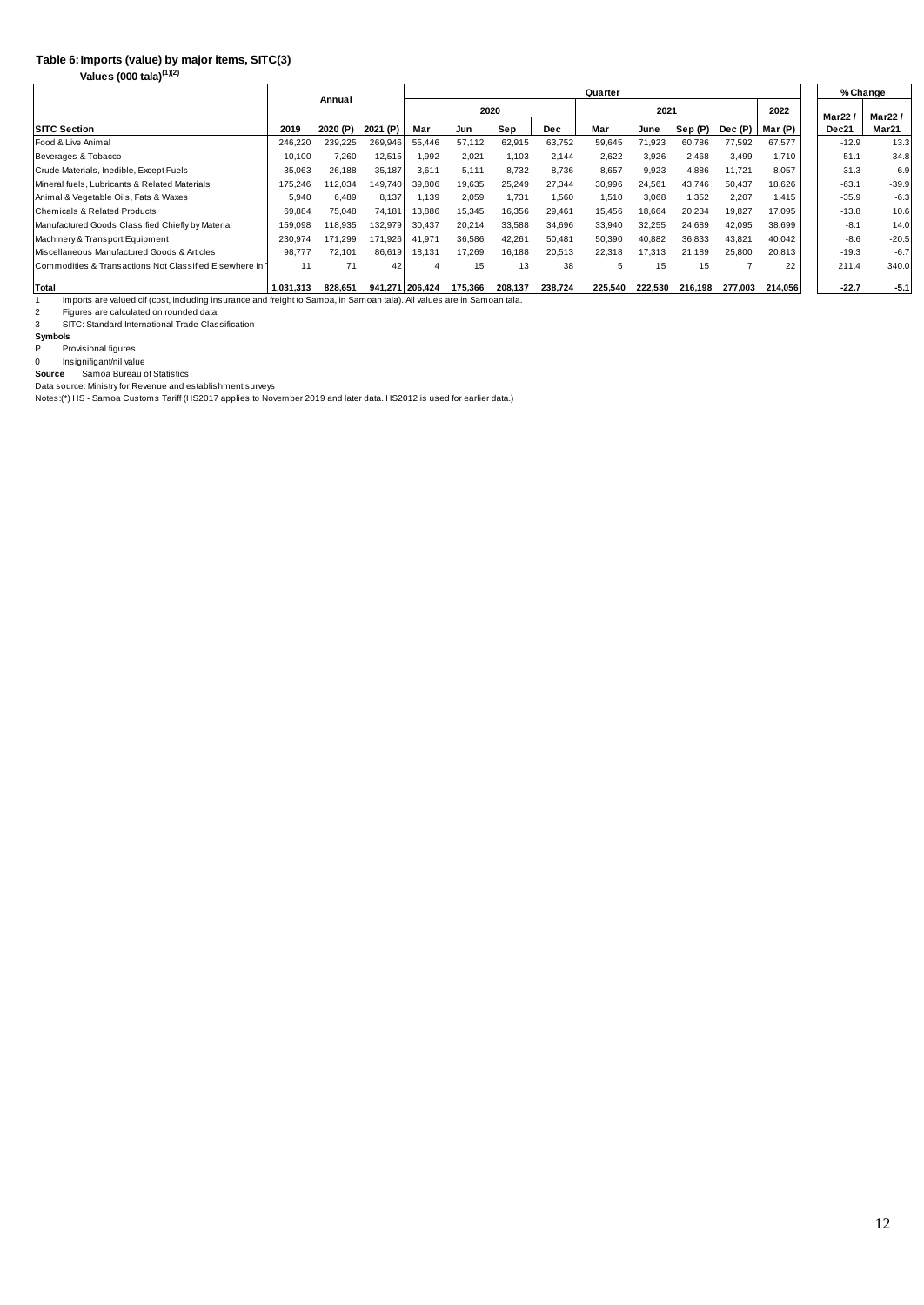#### **Imports (value) by major items, SITC(3) Table 6:**

**Values (000 tala)(1)(2)**

|                                                        |           | Annual   |                 |        |         |         |            | % Change |         |         |         |         |         |         |
|--------------------------------------------------------|-----------|----------|-----------------|--------|---------|---------|------------|----------|---------|---------|---------|---------|---------|---------|
|                                                        |           |          |                 | 2020   |         |         |            |          | 2021    |         | 2022    | Mar22   | Mar22/  |         |
| <b>SITC Section</b>                                    | 2019      | 2020 (P) | 2021 (P)        | Mar    | Jun     | Sep     | <b>Dec</b> | Mar      | June    | Sep (P) | Dec (P) | Mar (P) | Dec21   | Mar21   |
| Food & Live Animal                                     | 246.220   | 239,225  | 269,946         | 55,446 | 57,112  | 62,915  | 63,752     | 59,645   | 71,923  | 60.786  | 77,592  | 67,577  | $-12.9$ | 13.3    |
| Beverages & Tobacco                                    | 10.100    | 7.260    | 12,515          | 1.992  | 2.021   | 1.103   | 2.144      | 2.622    | 3.926   | 2.468   | 3.499   | 1.710   | $-51.1$ | $-34.8$ |
| Crude Materials, Inedible, Except Fuels                | 35,063    | 26,188   | 35,187          | 3,611  | 5,111   | 8,732   | 8.736      | 8,657    | 9,923   | 4,886   | 11,721  | 8,057   | $-31.3$ | $-6.9$  |
| Mineral fuels, Lubricants & Related Materials          | 175,246   | 112,034  | 149,740         | 39,806 | 19,635  | 25,249  | 27,344     | 30,996   | 24,561  | 43,746  | 50,437  | 18,626  | $-63.1$ | $-39.9$ |
| Animal & Vegetable Oils, Fats & Waxes                  | 5,940     | 6.489    | 8,137           | 1.139  | 2,059   | 1.731   | 1.560      | 1,510    | 3,068   | 1,352   | 2,207   | 1.415   | $-35.9$ | $-6.3$  |
| Chemicals & Related Products                           | 69,884    | 75,048   | 74,181          | 13,886 | 15,345  | 16.356  | 29.461     | 15.456   | 18,664  | 20,234  | 19,827  | 17.095  | $-13.8$ | 10.6    |
| Manufactured Goods Classified Chiefly by Material      | 159,098   | 118,935  | 132,979         | 30,437 | 20,214  | 33,588  | 34,696     | 33,940   | 32,255  | 24,689  | 42,095  | 38,699  | $-8.1$  | 14.0    |
| Machinery & Transport Equipment                        | 230,974   | 171,299  | 171,926         | 41,971 | 36,586  | 42,261  | 50,481     | 50,390   | 40,882  | 36,833  | 43,821  | 40,042  | $-8.6$  | $-20.5$ |
| Miscellaneous Manufactured Goods & Articles            | 98,777    | 72,101   | 86,619          | 18,131 | 17,269  | 16.188  | 20.513     | 22,318   | 17.313  | 21.189  | 25,800  | 20,813  | $-19.3$ | $-6.7$  |
| Commodities & Transactions Not Classified Elsewhere In | 11        | 71       | 42              | 4      | 15      | 13      | 38         | 5        | 15      | 15      |         | 22      | 211.4   | 340.0   |
| Total                                                  | 1.031.313 | 828.651  | 941.271 206.424 |        | 175.366 | 208.137 | 238.724    | 225.540  | 222.530 | 216.198 | 277.003 | 214,056 | $-22.7$ | $-5.1$  |

1 Imports are valued cif (cost, including insurance and freight to Samoa, in Samoan tala). All values are in Samoan tala.

2

2 Figures are calculated on rounded data<br>3 SITC: Standard International Trade Classification

**Symbols**<br>P Pro

P Provisional figures

0 Insignifigant/nil value Samoa Bureau of Statistics **Source**

Data source: Ministry for Revenue and establishment surveys Notes:(\*) HS - Samoa Customs Tariff (HS2017 applies to November 2019 and later data. HS2012 is used for earlier data.)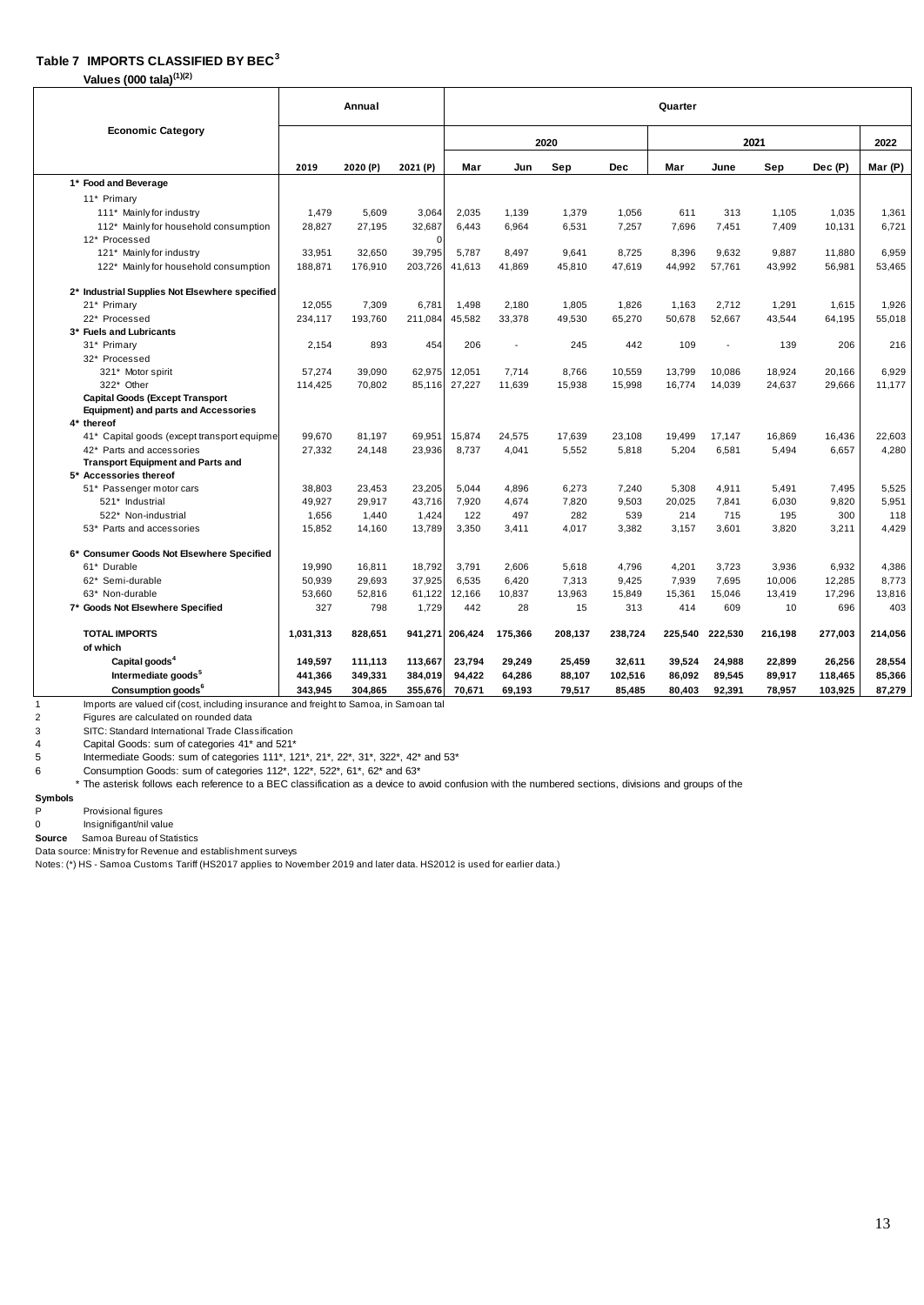#### **Table 7 IMPORTS CLASSIFIED BY BEC<sup>3</sup>**

**Values (000 tala)(1)(2)**

|                                                                                       |           | Annual  |          | Quarter |         |         |            |         |         |         |         |         |  |  |
|---------------------------------------------------------------------------------------|-----------|---------|----------|---------|---------|---------|------------|---------|---------|---------|---------|---------|--|--|
| <b>Economic Category</b>                                                              |           |         |          | 2020    |         |         |            | 2022    |         |         |         |         |  |  |
|                                                                                       | 2019      | 2020(P) | 2021 (P) | Mar     | Jun     | Sep     | <b>Dec</b> | Mar     | June    | Sep     | Dec (P) | Mar (P) |  |  |
| 1* Food and Beverage                                                                  |           |         |          |         |         |         |            |         |         |         |         |         |  |  |
| 11* Primary                                                                           |           |         |          |         |         |         |            |         |         |         |         |         |  |  |
| 111* Mainly for industry                                                              | 1.479     | 5,609   | 3,064    | 2,035   | 1.139   | 1,379   | 1.056      | 611     | 313     | 1.105   | 1,035   | 1,361   |  |  |
| 112* Mainly for household consumption                                                 | 28.827    | 27,195  | 32,687   | 6.443   | 6.964   | 6.531   | 7.257      | 7.696   | 7.451   | 7.409   | 10,131  | 6.721   |  |  |
| 12* Processed                                                                         |           |         | $\Omega$ |         |         |         |            |         |         |         |         |         |  |  |
| 121* Mainly for industry                                                              | 33.951    | 32.650  | 39.795   | 5.787   | 8.497   | 9.641   | 8.725      | 8.396   | 9.632   | 9.887   | 11.880  | 6.959   |  |  |
| 122* Mainly for household consumption                                                 | 188,871   | 176,910 | 203.726  | 41.613  | 41.869  | 45.810  | 47.619     | 44,992  | 57.761  | 43.992  | 56.981  | 53.465  |  |  |
| 2* Industrial Supplies Not Elsewhere specified                                        |           |         |          |         |         |         |            |         |         |         |         |         |  |  |
| 21* Primary                                                                           | 12,055    | 7,309   | 6.781    | 1,498   | 2,180   | 1,805   | 1,826      | 1,163   | 2.712   | 1,291   | 1,615   | 1,926   |  |  |
| 22* Processed                                                                         | 234,117   | 193,760 | 211,084  | 45,582  | 33,378  | 49,530  | 65,270     | 50,678  | 52,667  | 43,544  | 64,195  | 55,018  |  |  |
| 3* Fuels and Lubricants                                                               |           |         |          |         |         |         |            |         |         |         |         |         |  |  |
| 31* Primarv                                                                           | 2,154     | 893     | 454      | 206     |         | 245     | 442        | 109     |         | 139     | 206     | 216     |  |  |
| 32* Processed                                                                         |           |         |          |         |         |         |            |         |         |         |         |         |  |  |
| 321* Motor spirit                                                                     | 57,274    | 39,090  | 62,975   | 12,051  | 7,714   | 8,766   | 10,559     | 13,799  | 10,086  | 18,924  | 20,166  | 6,929   |  |  |
| 322* Other                                                                            | 114,425   | 70.802  | 85.116   | 27,227  | 11,639  | 15,938  | 15,998     | 16,774  | 14,039  | 24.637  | 29.666  | 11.177  |  |  |
| <b>Capital Goods (Except Transport</b><br><b>Equipment) and parts and Accessories</b> |           |         |          |         |         |         |            |         |         |         |         |         |  |  |
| 4* thereof                                                                            |           |         |          |         |         |         |            |         |         |         |         |         |  |  |
| 41* Capital goods (except transport equipmer                                          | 99.670    | 81.197  | 69.951   | 15.874  | 24.575  | 17.639  | 23.108     | 19.499  | 17.147  | 16.869  | 16.436  | 22,603  |  |  |
| 42* Parts and accessories                                                             | 27,332    | 24,148  | 23,936   | 8.737   | 4,041   | 5,552   | 5,818      | 5.204   | 6,581   | 5,494   | 6.657   | 4,280   |  |  |
| <b>Transport Equipment and Parts and</b><br>5* Accessories thereof                    |           |         |          |         |         |         |            |         |         |         |         |         |  |  |
| 51* Passenger motor cars                                                              | 38,803    | 23,453  | 23,205   | 5,044   | 4,896   | 6,273   | 7.240      | 5,308   | 4,911   | 5,491   | 7,495   | 5,525   |  |  |
| 521* Industrial                                                                       | 49,927    | 29.917  | 43,716   | 7,920   | 4.674   | 7,820   | 9,503      | 20,025  | 7.841   | 6.030   | 9,820   | 5,951   |  |  |
| 522* Non-industrial                                                                   | 1.656     | 1.440   | 1,424    | 122     | 497     | 282     | 539        | 214     | 715     | 195     | 300     | 118     |  |  |
| 53* Parts and accessories                                                             | 15.852    | 14.160  | 13.789   | 3.350   | 3.411   | 4.017   | 3.382      | 3.157   | 3.601   | 3.820   | 3.211   | 4.429   |  |  |
| 6* Consumer Goods Not Elsewhere Specified                                             |           |         |          |         |         |         |            |         |         |         |         |         |  |  |
| 61* Durable                                                                           | 19,990    | 16,811  | 18,792   | 3.791   | 2,606   | 5.618   | 4,796      | 4,201   | 3,723   | 3.936   | 6,932   | 4,386   |  |  |
| 62* Semi-durable                                                                      | 50,939    | 29,693  | 37,925   | 6,535   | 6,420   | 7,313   | 9,425      | 7,939   | 7,695   | 10,006  | 12,285  | 8,773   |  |  |
| 63* Non-durable                                                                       | 53.660    | 52.816  | 61.122   | 12.166  | 10.837  | 13.963  | 15.849     | 15.361  | 15.046  | 13.419  | 17.296  | 13.816  |  |  |
| 7* Goods Not Elsewhere Specified                                                      | 327       | 798     | 1.729    | 442     | 28      | 15      | 313        | 414     | 609     | 10      | 696     | 403     |  |  |
| <b>TOTAL IMPORTS</b>                                                                  | 1,031,313 | 828,651 | 941,271  | 206,424 | 175,366 | 208,137 | 238,724    | 225,540 | 222,530 | 216,198 | 277,003 | 214.056 |  |  |
| of which                                                                              |           |         |          |         |         |         |            |         |         |         |         |         |  |  |
| Capital goods <sup>4</sup>                                                            | 149,597   | 111,113 | 113,667  | 23,794  | 29,249  | 25.459  | 32,611     | 39,524  | 24,988  | 22.899  | 26,256  | 28,554  |  |  |
| Intermediate goods <sup>5</sup>                                                       | 441,366   | 349,331 | 384,019  | 94,422  | 64,286  | 88,107  | 102,516    | 86,092  | 89,545  | 89,917  | 118,465 | 85,366  |  |  |
| Consumption goods <sup>6</sup>                                                        | 343.945   | 304,865 | 355,676  | 70,671  | 69.193  | 79.517  | 85.485     | 80.403  | 92.391  | 78.957  | 103,925 | 87.279  |  |  |

1 Imports are valued cif (cost, including insurance and freight to Samoa, in Samoan tal

 $\frac{2}{3}$ Figures are calculated on rounded data

3 SITC: Standard International Trade Classification<br>4 Capital Goods: sum of categories 41\* and 521\*<br>5 Intermediate Goods: sum of categories 111\*, 1:

Capital Goods: sum of categories 41\* and 521\*

5 Intermediate Goods: sum of categories 111\*, 121\*, 21\*, 22\*, 31\*, 322\*, 42\* and 53\*

6 Consumption Goods: sum of categories 112\*, 122\*, 522\*, 61\*, 62\* and 63\*

\* The asterisk follows each reference to a BEC classification as a device to avoid confusion with the numbered sections, divisions and groups of the

**Symbols**

Provisional figures

0 Insignifigant/nil value

**Source** Samoa Bureau of Statistics

Data source: Ministry for Revenue and establishment surveys